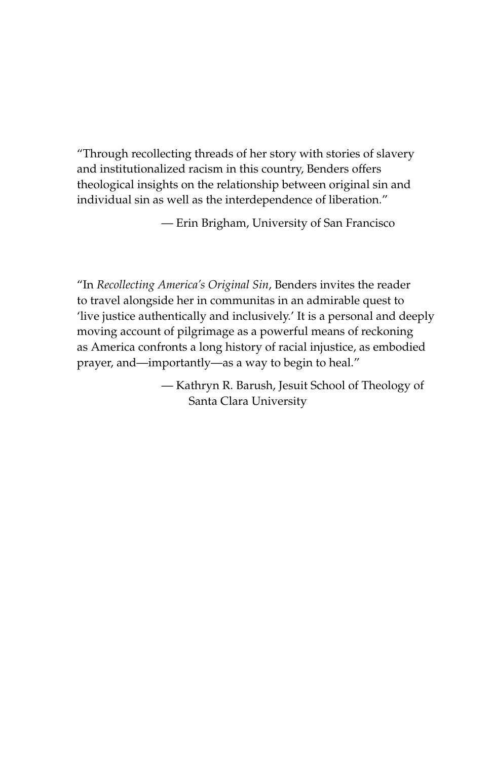"Through recollecting threads of her story with stories of slavery and institutionalized racism in this country, Benders offers theological insights on the relationship between original sin and individual sin as well as the interdependence of liberation."

— Erin Brigham, University of San Francisco

"In *Recollecting America's Original Sin*, Benders invites the reader to travel alongside her in communitas in an admirable quest to 'live justice authentically and inclusively.' It is a personal and deeply moving account of pilgrimage as a powerful means of reckoning as America confronts a long history of racial injustice, as embodied prayer, and—importantly—as a way to begin to heal."

> — Kathryn R. Barush, Jesuit School of Theology of Santa Clara University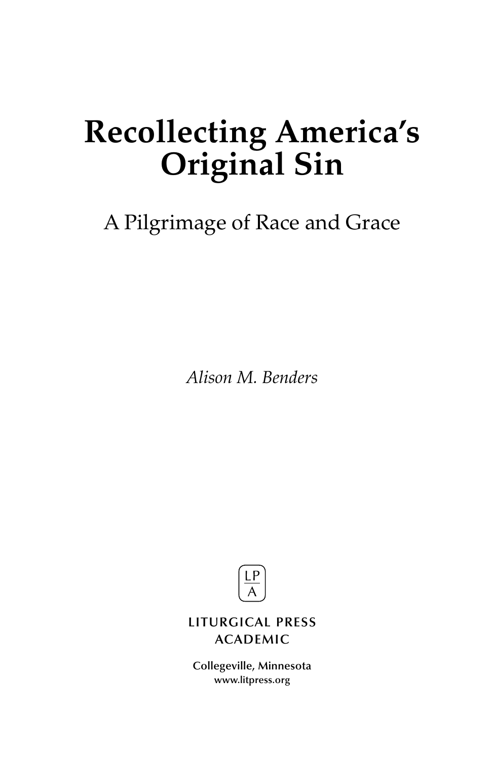# **Recollecting America's Original Sin**

## A Pilgrimage of Race and Grace

*Alison M. Benders*



**LITURGICAL PRESS ACADEMIC**

**Collegeville, Minnesota www.litpress.org**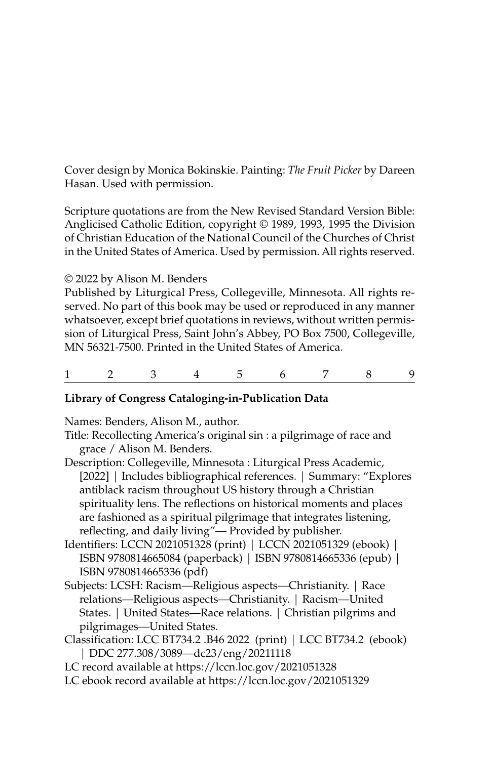Cover design by Monica Bokinskie. Painting: *The Fruit Picker* by Dareen Hasan. Used with permission.

Scripture quotations are from the New Revised Standard Version Bible: Anglicised Catholic Edition, copyright © 1989, 1993, 1995 the Division of Christian Education of the National Council of the Churches of Christ in the United States of America. Used by permission. All rights reserved.

#### © 2022 by Alison M. Benders

Published by Liturgical Press, Collegeville, Minnesota. All rights reserved. No part of this book may be used or reproduced in any manner whatsoever, except brief quotations in reviews, without written permission of Liturgical Press, Saint John's Abbey, PO Box 7500, Collegeville, MN 56321-7500. Printed in the United States of America.

|  |  |  | $\begin{array}{cccccccccccccc} 1 & 2 & 3 & 4 & 5 & 6 & 7 & 8 & 9 \end{array}$ |  |
|--|--|--|-------------------------------------------------------------------------------|--|
|  |  |  |                                                                               |  |

#### **Library of Congress Cataloging-in-Publication Data**

Names: Benders, Alison M., author.

- Title: Recollecting America's original sin : a pilgrimage of race and grace / Alison M. Benders.
- Description: Collegeville, Minnesota : Liturgical Press Academic, [2022] | Includes bibliographical references. | Summary: "Explores antiblack racism throughout US history through a Christian spirituality lens. The reflections on historical moments and places are fashioned as a spiritual pilgrimage that integrates listening, reflecting, and daily living"— Provided by publisher.
- Identifiers: LCCN 2021051328 (print) | LCCN 2021051329 (ebook) | ISBN 9780814665084 (paperback) | ISBN 9780814665336 (epub) | ISBN 9780814665336 (pdf)
- Subjects: LCSH: Racism—Religious aspects—Christianity. | Race relations—Religious aspects—Christianity. | Racism—United States. | United States—Race relations. | Christian pilgrims and pilgrimages—United States.
- Classification: LCC BT734.2 .B46 2022 (print) | LCC BT734.2 (ebook) | DDC 277.308/3089—dc23/eng/20211118
- LC record available at https://lccn.loc.gov/2021051328
- LC ebook record available at https://lccn.loc.gov/2021051329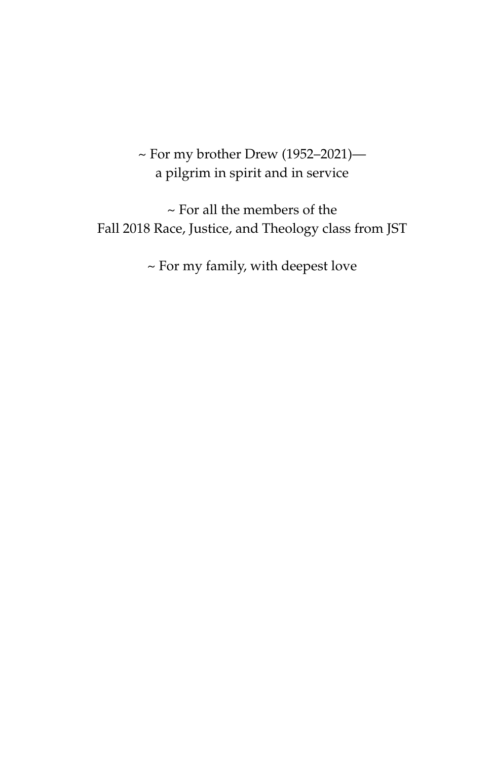~ For my brother Drew (1952–2021) a pilgrim in spirit and in service

~ For all the members of the Fall 2018 Race, Justice, and Theology class from JST

~ For my family, with deepest love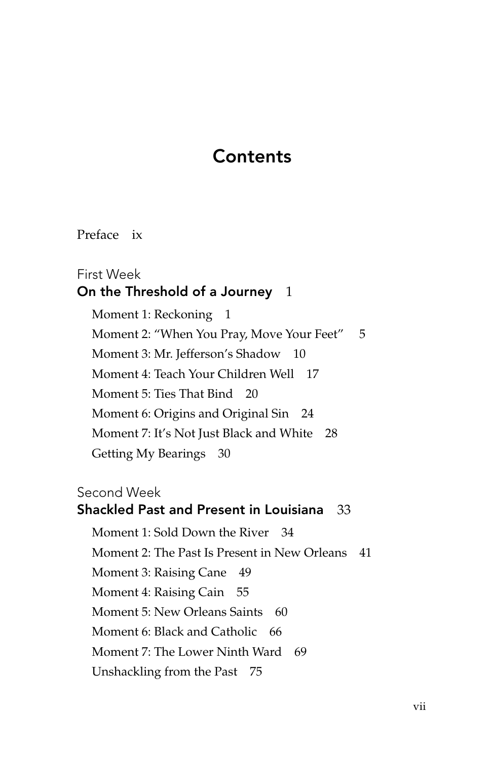## **Contents**

Preface ix

## First Week On the Threshold of a Journey 1

Moment 1: Reckoning 1 Moment 2: "When You Pray, Move Your Feet" 5 Moment 3: Mr. Jefferson's Shadow 10 Moment 4: Teach Your Children Well 17 Moment 5: Ties That Bind 20 Moment 6: Origins and Original Sin 24 Moment 7: It's Not Just Black and White 28 Getting My Bearings 30

#### Second Week

#### Shackled Past and Present in Louisiana 33

Moment 1: Sold Down the River 34 Moment 2: The Past Is Present in New Orleans 41 Moment 3: Raising Cane 49 Moment 4: Raising Cain 55 Moment 5: New Orleans Saints 60 Moment 6: Black and Catholic 66 Moment 7: The Lower Ninth Ward 69 Unshackling from the Past 75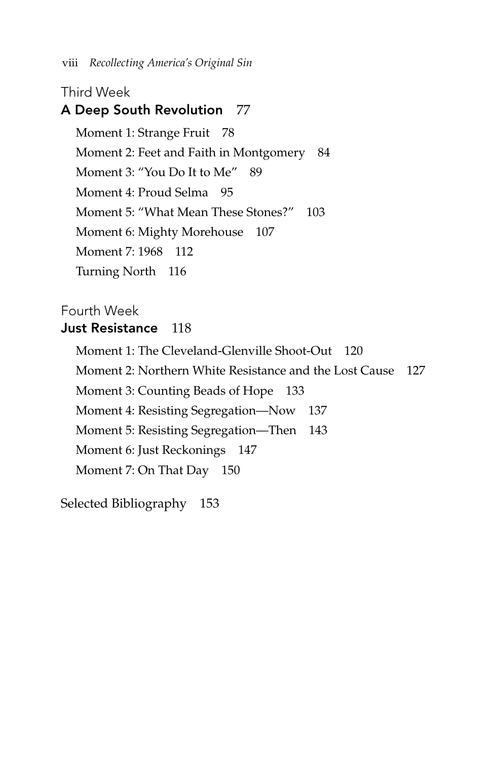viii *Recollecting America's Original Sin*

## Third Week A Deep South Revolution 77 Moment 1: Strange Fruit 78 Moment 2: Feet and Faith in Montgomery 84 Moment 3: "You Do It to Me" 89 Moment 4: Proud Selma 95 Moment 5: "What Mean These Stones?" 103 Moment 6: Mighty Morehouse 107 Moment 7: 1968 112 Turning North 116

## Fourth Week

## Just Resistance 118

Moment 1: The Cleveland-Glenville Shoot-Out 120 Moment 2: Northern White Resistance and the Lost Cause 127 Moment 3: Counting Beads of Hope 133 Moment 4: Resisting Segregation—Now 137 Moment 5: Resisting Segregation—Then 143 Moment 6: Just Reckonings 147 Moment 7: On That Day 150

Selected Bibliography 153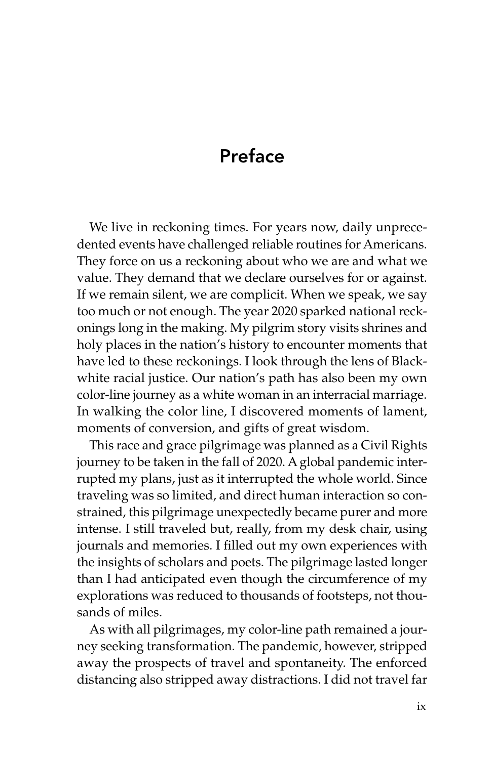## Preface

We live in reckoning times. For years now, daily unprecedented events have challenged reliable routines for Americans. They force on us a reckoning about who we are and what we value. They demand that we declare ourselves for or against. If we remain silent, we are complicit. When we speak, we say too much or not enough. The year 2020 sparked national reckonings long in the making. My pilgrim story visits shrines and holy places in the nation's history to encounter moments that have led to these reckonings. I look through the lens of Blackwhite racial justice. Our nation's path has also been my own color-line journey as a white woman in an interracial marriage. In walking the color line, I discovered moments of lament, moments of conversion, and gifts of great wisdom.

This race and grace pilgrimage was planned as a Civil Rights journey to be taken in the fall of 2020. A global pandemic interrupted my plans, just as it interrupted the whole world. Since traveling was so limited, and direct human interaction so constrained, this pilgrimage unexpectedly became purer and more intense. I still traveled but, really, from my desk chair, using journals and memories. I filled out my own experiences with the insights of scholars and poets. The pilgrimage lasted longer than I had anticipated even though the circumference of my explorations was reduced to thousands of footsteps, not thousands of miles.

As with all pilgrimages, my color-line path remained a journey seeking transformation. The pandemic, however, stripped away the prospects of travel and spontaneity. The enforced distancing also stripped away distractions. I did not travel far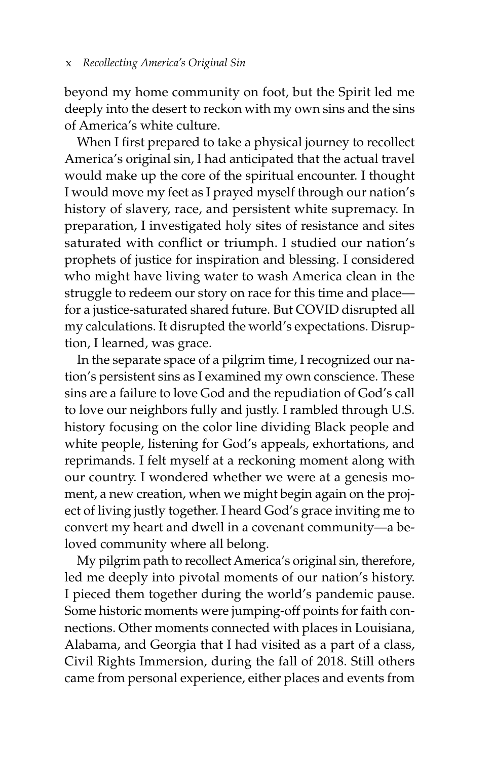beyond my home community on foot, but the Spirit led me deeply into the desert to reckon with my own sins and the sins of America's white culture.

When I first prepared to take a physical journey to recollect America's original sin, I had anticipated that the actual travel would make up the core of the spiritual encounter. I thought I would move my feet as I prayed myself through our nation's history of slavery, race, and persistent white supremacy. In preparation, I investigated holy sites of resistance and sites saturated with conflict or triumph. I studied our nation's prophets of justice for inspiration and blessing. I considered who might have living water to wash America clean in the struggle to redeem our story on race for this time and place for a justice-saturated shared future. But COVID disrupted all my calculations. It disrupted the world's expectations. Disruption, I learned, was grace.

In the separate space of a pilgrim time, I recognized our nation's persistent sins as I examined my own conscience. These sins are a failure to love God and the repudiation of God's call to love our neighbors fully and justly. I rambled through U.S. history focusing on the color line dividing Black people and white people, listening for God's appeals, exhortations, and reprimands. I felt myself at a reckoning moment along with our country. I wondered whether we were at a genesis moment, a new creation, when we might begin again on the project of living justly together. I heard God's grace inviting me to convert my heart and dwell in a covenant community—a beloved community where all belong.

My pilgrim path to recollect America's original sin, therefore, led me deeply into pivotal moments of our nation's history. I pieced them together during the world's pandemic pause. Some historic moments were jumping-off points for faith connections. Other moments connected with places in Louisiana, Alabama, and Georgia that I had visited as a part of a class, Civil Rights Immersion, during the fall of 2018. Still others came from personal experience, either places and events from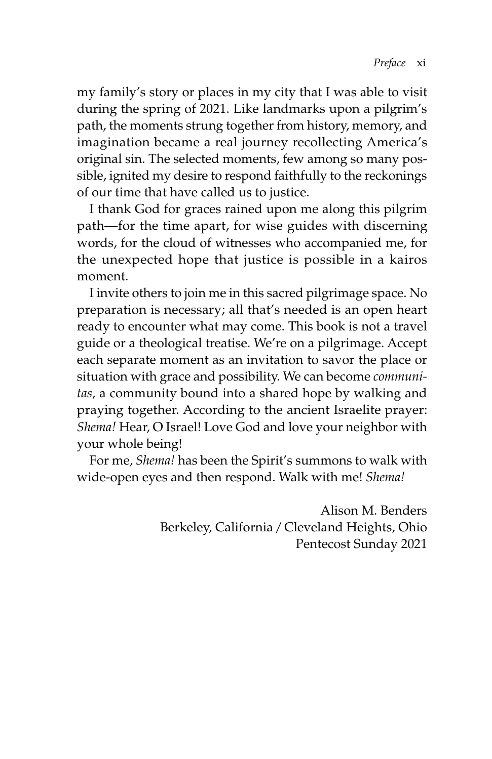my family's story or places in my city that I was able to visit during the spring of 2021. Like landmarks upon a pilgrim's path, the moments strung together from history, memory, and imagination became a real journey recollecting America's original sin. The selected moments, few among so many possible, ignited my desire to respond faithfully to the reckonings of our time that have called us to justice.

I thank God for graces rained upon me along this pilgrim path—for the time apart, for wise guides with discerning words, for the cloud of witnesses who accompanied me, for the unexpected hope that justice is possible in a kairos moment.

I invite others to join me in this sacred pilgrimage space. No preparation is necessary; all that's needed is an open heart ready to encounter what may come. This book is not a travel guide or a theological treatise. We're on a pilgrimage. Accept each separate moment as an invitation to savor the place or situation with grace and possibility. We can become *communitas*, a community bound into a shared hope by walking and praying together. According to the ancient Israelite prayer: *Shema!* Hear, O Israel! Love God and love your neighbor with your whole being!

For me, *Shema!* has been the Spirit's summons to walk with wide-open eyes and then respond. Walk with me! *Shema!*

> Alison M. Benders Berkeley, California/Cleveland Heights, Ohio Pentecost Sunday 2021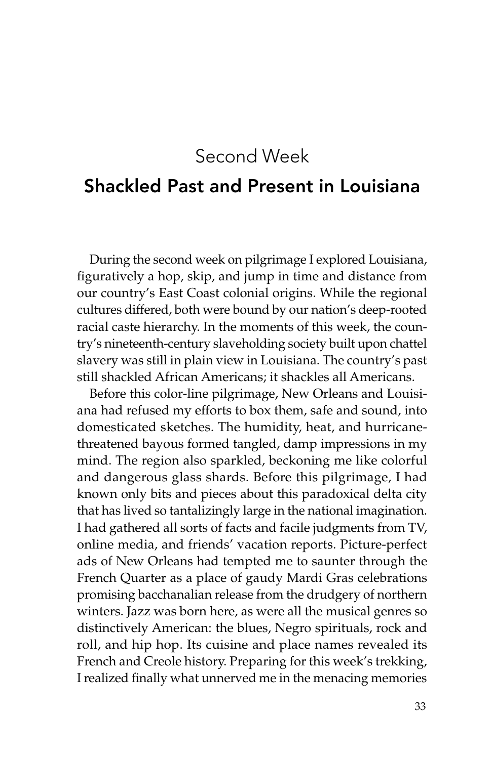## Second Week

## Shackled Past and Present in Louisiana

During the second week on pilgrimage I explored Louisiana, figuratively a hop, skip, and jump in time and distance from our country's East Coast colonial origins. While the regional cultures differed, both were bound by our nation's deep-rooted racial caste hierarchy. In the moments of this week, the country's nineteenth-century slaveholding society built upon chattel slavery was still in plain view in Louisiana. The country's past still shackled African Americans; it shackles all Americans.

Before this color-line pilgrimage, New Orleans and Louisiana had refused my efforts to box them, safe and sound, into domesticated sketches. The humidity, heat, and hurricanethreatened bayous formed tangled, damp impressions in my mind. The region also sparkled, beckoning me like colorful and dangerous glass shards. Before this pilgrimage, I had known only bits and pieces about this paradoxical delta city that has lived so tantalizingly large in the national imagination. I had gathered all sorts of facts and facile judgments from TV, online media, and friends' vacation reports. Picture-perfect ads of New Orleans had tempted me to saunter through the French Quarter as a place of gaudy Mardi Gras celebrations promising bacchanalian release from the drudgery of northern winters. Jazz was born here, as were all the musical genres so distinctively American: the blues, Negro spirituals, rock and roll, and hip hop. Its cuisine and place names revealed its French and Creole history. Preparing for this week's trekking, I realized finally what unnerved me in the menacing memories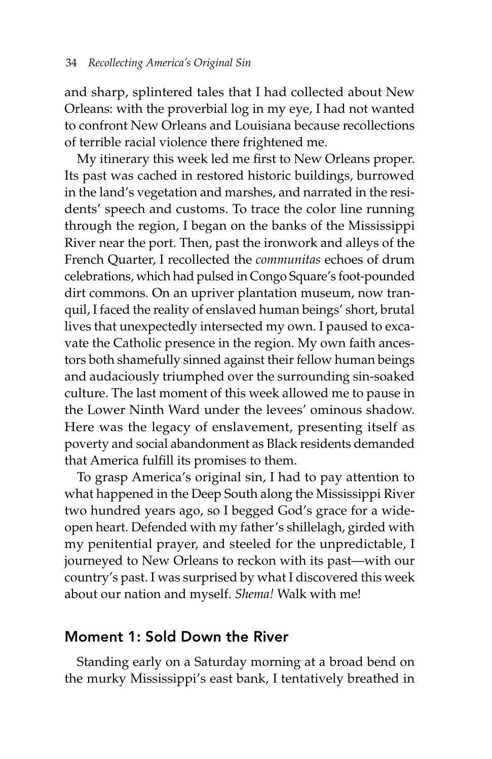and sharp, splintered tales that I had collected about New Orleans: with the proverbial log in my eye, I had not wanted to confront New Orleans and Louisiana because recollections of terrible racial violence there frightened me.

My itinerary this week led me first to New Orleans proper. Its past was cached in restored historic buildings, burrowed in the land's vegetation and marshes, and narrated in the residents' speech and customs. To trace the color line running through the region, I began on the banks of the Mississippi River near the port. Then, past the ironwork and alleys of the French Quarter, I recollected the *communitas* echoes of drum celebrations, which had pulsed in Congo Square's foot-pounded dirt commons. On an upriver plantation museum, now tranquil, I faced the reality of enslaved human beings' short, brutal lives that unexpectedly intersected my own. I paused to excavate the Catholic presence in the region. My own faith ancestors both shamefully sinned against their fellow human beings and audaciously triumphed over the surrounding sin-soaked culture. The last moment of this week allowed me to pause in the Lower Ninth Ward under the levees' ominous shadow. Here was the legacy of enslavement, presenting itself as poverty and social abandonment as Black residents demanded that America fulfill its promises to them.

To grasp America's original sin, I had to pay attention to what happened in the Deep South along the Mississippi River two hundred years ago, so I begged God's grace for a wideopen heart. Defended with my father's shillelagh, girded with my penitential prayer, and steeled for the unpredictable, I journeyed to New Orleans to reckon with its past—with our country's past. I was surprised by what I discovered this week about our nation and myself. *Shema!* Walk with me!

#### Moment 1: Sold Down the River

Standing early on a Saturday morning at a broad bend on the murky Mississippi's east bank, I tentatively breathed in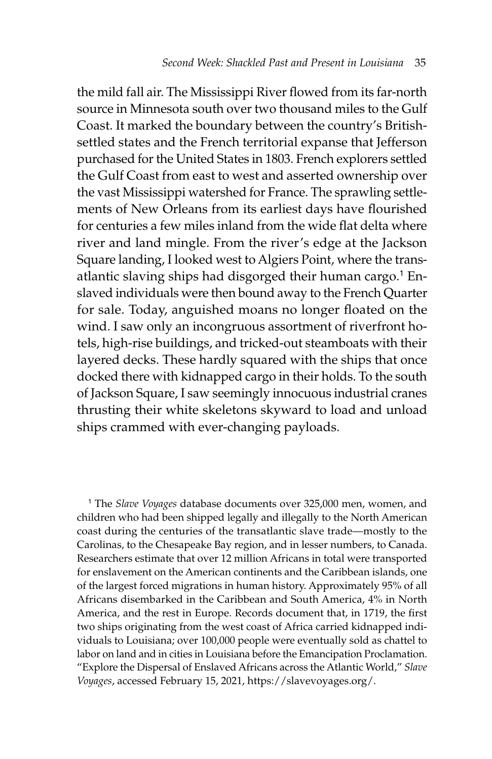the mild fall air. The Mississippi River flowed from its far-north source in Minnesota south over two thousand miles to the Gulf Coast. It marked the boundary between the country's Britishsettled states and the French territorial expanse that Jefferson purchased for the United States in 1803. French explorers settled the Gulf Coast from east to west and asserted ownership over the vast Mississippi watershed for France. The sprawling settlements of New Orleans from its earliest days have flourished for centuries a few miles inland from the wide flat delta where river and land mingle. From the river's edge at the Jackson Square landing, I looked west to Algiers Point, where the transatlantic slaving ships had disgorged their human cargo.<sup>1</sup> Enslaved individuals were then bound away to the French Quarter for sale. Today, anguished moans no longer floated on the wind. I saw only an incongruous assortment of riverfront hotels, high-rise buildings, and tricked-out steamboats with their layered decks. These hardly squared with the ships that once docked there with kidnapped cargo in their holds. To the south of Jackson Square, I saw seemingly innocuous industrial cranes thrusting their white skeletons skyward to load and unload ships crammed with ever-changing payloads.

1 The *Slave Voyages* database documents over 325,000 men, women, and children who had been shipped legally and illegally to the North American coast during the centuries of the transatlantic slave trade—mostly to the Carolinas, to the Chesapeake Bay region, and in lesser numbers, to Canada. Researchers estimate that over 12 million Africans in total were transported for enslavement on the American continents and the Caribbean islands, one of the largest forced migrations in human history. Approximately 95% of all Africans disembarked in the Caribbean and South America, 4% in North America, and the rest in Europe. Records document that, in 1719, the first two ships originating from the west coast of Africa carried kidnapped individuals to Louisiana; over 100,000 people were eventually sold as chattel to labor on land and in cities in Louisiana before the Emancipation Proclamation. "Explore the Dispersal of Enslaved Africans across the Atlantic World," *Slave Voyages*, accessed February 15, 2021, https://slavevoyages.org/.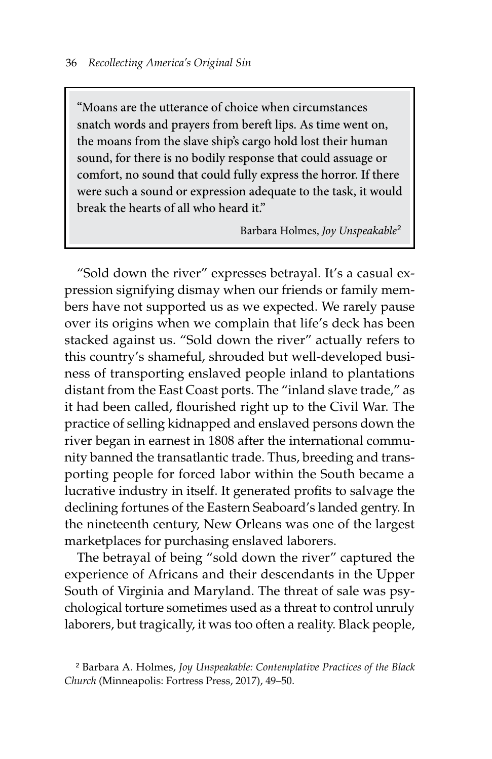"Moans are the utterance of choice when circumstances snatch words and prayers from bereft lips. As time went on, the moans from the slave ship's cargo hold lost their human sound, for there is no bodily response that could assuage or comfort, no sound that could fully express the horror. If there were such a sound or expression adequate to the task, it would break the hearts of all who heard it."

Barbara Holmes, *Joy Unspeakable*<sup>2</sup>

"Sold down the river" expresses betrayal. It's a casual expression signifying dismay when our friends or family members have not supported us as we expected. We rarely pause over its origins when we complain that life's deck has been stacked against us. "Sold down the river" actually refers to this country's shameful, shrouded but well-developed business of transporting enslaved people inland to plantations distant from the East Coast ports. The "inland slave trade," as it had been called, flourished right up to the Civil War. The practice of selling kidnapped and enslaved persons down the river began in earnest in 1808 after the international community banned the transatlantic trade. Thus, breeding and transporting people for forced labor within the South became a lucrative industry in itself. It generated profits to salvage the declining fortunes of the Eastern Seaboard's landed gentry. In the nineteenth century, New Orleans was one of the largest marketplaces for purchasing enslaved laborers.

The betrayal of being "sold down the river" captured the experience of Africans and their descendants in the Upper South of Virginia and Maryland. The threat of sale was psychological torture sometimes used as a threat to control unruly laborers, but tragically, it was too often a reality. Black people,

<sup>2</sup> Barbara A. Holmes, *Joy Unspeakable: Contemplative Practices of the Black Church* (Minneapolis: Fortress Press, 2017), 49–50.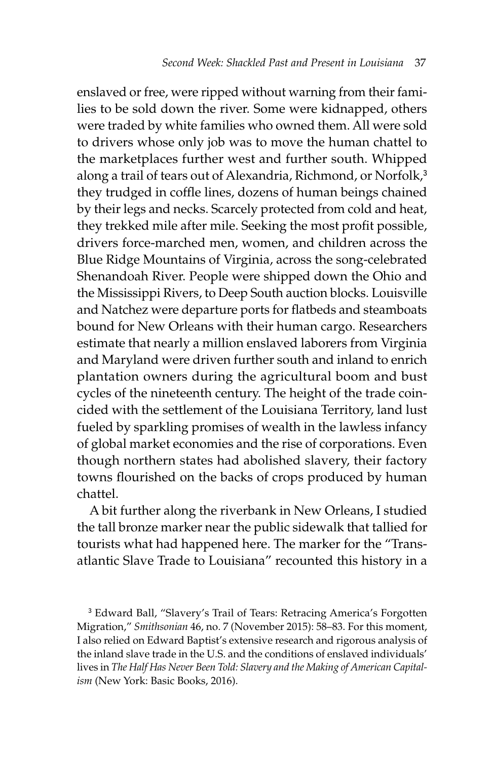enslaved or free, were ripped without warning from their families to be sold down the river. Some were kidnapped, others were traded by white families who owned them. All were sold to drivers whose only job was to move the human chattel to the marketplaces further west and further south. Whipped along a trail of tears out of Alexandria, Richmond, or Norfolk,<sup>3</sup> they trudged in coffle lines, dozens of human beings chained by their legs and necks. Scarcely protected from cold and heat, they trekked mile after mile. Seeking the most profit possible, drivers force-marched men, women, and children across the Blue Ridge Mountains of Virginia, across the song-celebrated Shenandoah River. People were shipped down the Ohio and the Mississippi Rivers, to Deep South auction blocks. Louisville and Natchez were departure ports for flatbeds and steamboats bound for New Orleans with their human cargo. Researchers estimate that nearly a million enslaved laborers from Virginia and Maryland were driven further south and inland to enrich plantation owners during the agricultural boom and bust cycles of the nineteenth century. The height of the trade coincided with the settlement of the Louisiana Territory, land lust fueled by sparkling promises of wealth in the lawless infancy of global market economies and the rise of corporations. Even though northern states had abolished slavery, their factory towns flourished on the backs of crops produced by human chattel.

A bit further along the riverbank in New Orleans, I studied the tall bronze marker near the public sidewalk that tallied for tourists what had happened here. The marker for the "Transatlantic Slave Trade to Louisiana" recounted this history in a

3 Edward Ball, "Slavery's Trail of Tears: Retracing America's Forgotten Migration," *Smithsonian* 46, no. 7 (November 2015): 58–83. For this moment, I also relied on Edward Baptist's extensive research and rigorous analysis of the inland slave trade in the U.S. and the conditions of enslaved individuals' lives in *The Half Has Never Been Told: Slavery and the Making of American Capitalism* (New York: Basic Books, 2016).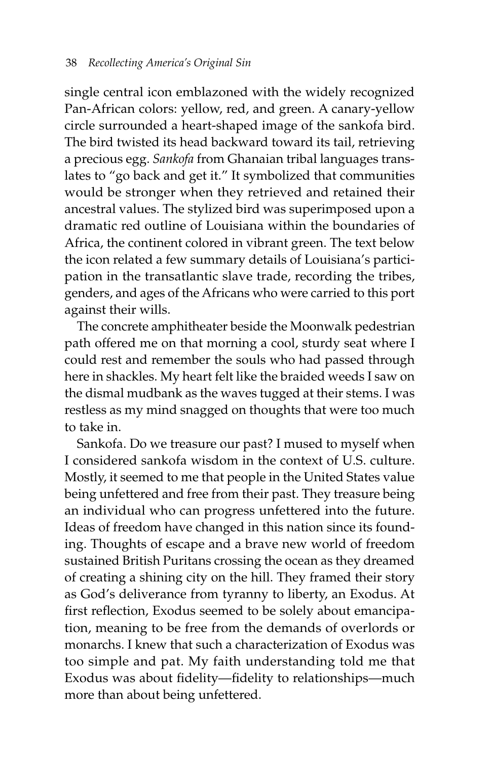single central icon emblazoned with the widely recognized Pan-African colors: yellow, red, and green. A canary-yellow circle surrounded a heart-shaped image of the sankofa bird. The bird twisted its head backward toward its tail, retrieving a precious egg. *Sankofa* from Ghanaian tribal languages translates to "go back and get it." It symbolized that communities would be stronger when they retrieved and retained their ancestral values. The stylized bird was superimposed upon a dramatic red outline of Louisiana within the boundaries of Africa, the continent colored in vibrant green. The text below the icon related a few summary details of Louisiana's participation in the transatlantic slave trade, recording the tribes, genders, and ages of the Africans who were carried to this port against their wills.

The concrete amphitheater beside the Moonwalk pedestrian path offered me on that morning a cool, sturdy seat where I could rest and remember the souls who had passed through here in shackles. My heart felt like the braided weeds I saw on the dismal mudbank as the waves tugged at their stems. I was restless as my mind snagged on thoughts that were too much to take in.

Sankofa. Do we treasure our past? I mused to myself when I considered sankofa wisdom in the context of U.S. culture. Mostly, it seemed to me that people in the United States value being unfettered and free from their past. They treasure being an individual who can progress unfettered into the future. Ideas of freedom have changed in this nation since its founding. Thoughts of escape and a brave new world of freedom sustained British Puritans crossing the ocean as they dreamed of creating a shining city on the hill. They framed their story as God's deliverance from tyranny to liberty, an Exodus. At first reflection, Exodus seemed to be solely about emancipation, meaning to be free from the demands of overlords or monarchs. I knew that such a characterization of Exodus was too simple and pat. My faith understanding told me that Exodus was about fidelity—fidelity to relationships—much more than about being unfettered.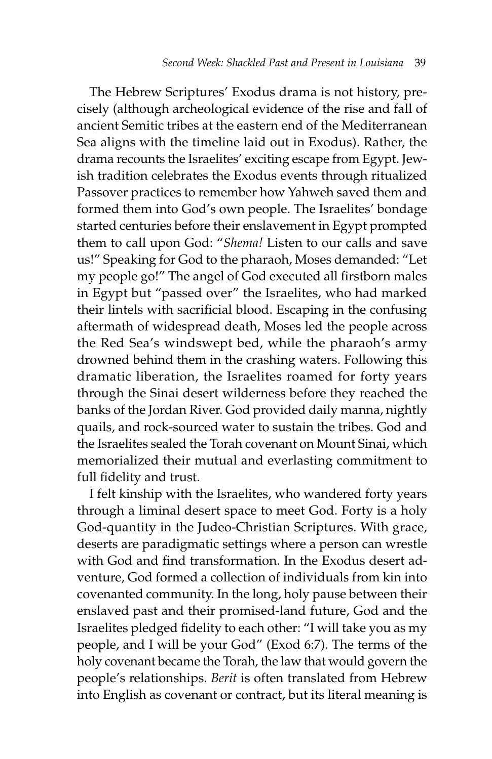The Hebrew Scriptures' Exodus drama is not history, precisely (although archeological evidence of the rise and fall of ancient Semitic tribes at the eastern end of the Mediterranean Sea aligns with the timeline laid out in Exodus). Rather, the drama recounts the Israelites' exciting escape from Egypt. Jewish tradition celebrates the Exodus events through ritualized Passover practices to remember how Yahweh saved them and formed them into God's own people. The Israelites' bondage started centuries before their enslavement in Egypt prompted them to call upon God: "*Shema!* Listen to our calls and save us!" Speaking for God to the pharaoh, Moses demanded: "Let my people go!" The angel of God executed all firstborn males in Egypt but "passed over" the Israelites, who had marked their lintels with sacrificial blood. Escaping in the confusing aftermath of widespread death, Moses led the people across the Red Sea's windswept bed, while the pharaoh's army drowned behind them in the crashing waters. Following this dramatic liberation, the Israelites roamed for forty years through the Sinai desert wilderness before they reached the banks of the Jordan River. God provided daily manna, nightly quails, and rock-sourced water to sustain the tribes. God and the Israelites sealed the Torah covenant on Mount Sinai, which memorialized their mutual and everlasting commitment to full fidelity and trust.

I felt kinship with the Israelites, who wandered forty years through a liminal desert space to meet God. Forty is a holy God-quantity in the Judeo-Christian Scriptures. With grace, deserts are paradigmatic settings where a person can wrestle with God and find transformation. In the Exodus desert adventure, God formed a collection of individuals from kin into covenanted community. In the long, holy pause between their enslaved past and their promised-land future, God and the Israelites pledged fidelity to each other: "I will take you as my people, and I will be your God" (Exod 6:7). The terms of the holy covenant became the Torah, the law that would govern the people's relationships. *Berit* is often translated from Hebrew into English as covenant or contract, but its literal meaning is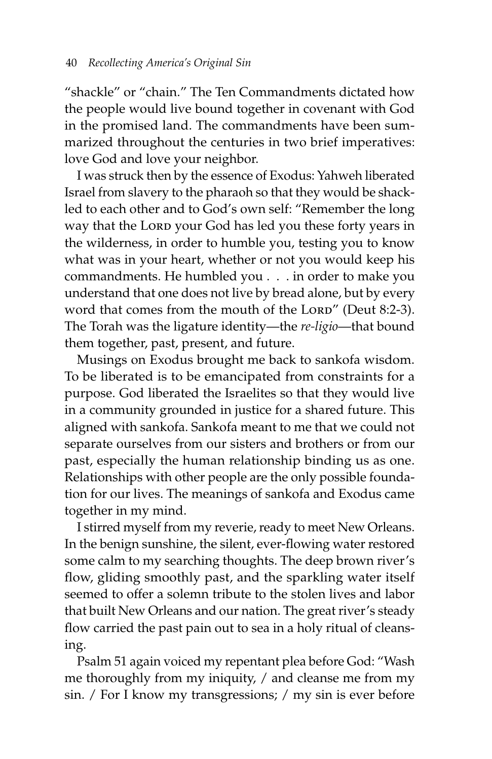"shackle" or "chain." The Ten Commandments dictated how the people would live bound together in covenant with God in the promised land. The commandments have been summarized throughout the centuries in two brief imperatives: love God and love your neighbor.

I was struck then by the essence of Exodus: Yahweh liberated Israel from slavery to the pharaoh so that they would be shackled to each other and to God's own self: "Remember the long way that the LORD your God has led you these forty years in the wilderness, in order to humble you, testing you to know what was in your heart, whether or not you would keep his commandments. He humbled you . . . in order to make you understand that one does not live by bread alone, but by every word that comes from the mouth of the Lord" (Deut 8:2-3). The Torah was the ligature identity—the *re-ligio*—that bound them together, past, present, and future.

Musings on Exodus brought me back to sankofa wisdom. To be liberated is to be emancipated from constraints for a purpose. God liberated the Israelites so that they would live in a community grounded in justice for a shared future. This aligned with sankofa. Sankofa meant to me that we could not separate ourselves from our sisters and brothers or from our past, especially the human relationship binding us as one. Relationships with other people are the only possible foundation for our lives. The meanings of sankofa and Exodus came together in my mind.

I stirred myself from my reverie, ready to meet New Orleans. In the benign sunshine, the silent, ever-flowing water restored some calm to my searching thoughts. The deep brown river's flow, gliding smoothly past, and the sparkling water itself seemed to offer a solemn tribute to the stolen lives and labor that built New Orleans and our nation. The great river's steady flow carried the past pain out to sea in a holy ritual of cleansing.

Psalm 51 again voiced my repentant plea before God: "Wash me thoroughly from my iniquity, / and cleanse me from my sin. / For I know my transgressions; / my sin is ever before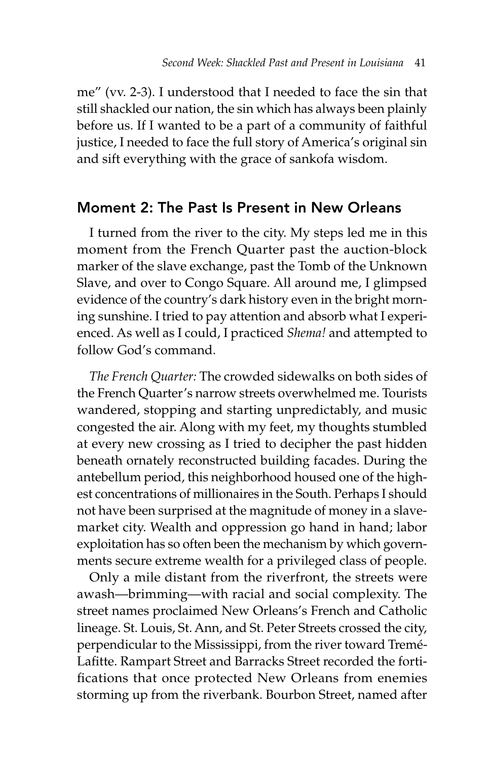me" (vv. 2-3). I understood that I needed to face the sin that still shackled our nation, the sin which has always been plainly before us. If I wanted to be a part of a community of faithful justice, I needed to face the full story of America's original sin and sift everything with the grace of sankofa wisdom.

### Moment 2: The Past Is Present in New Orleans

I turned from the river to the city. My steps led me in this moment from the French Quarter past the auction-block marker of the slave exchange, past the Tomb of the Unknown Slave, and over to Congo Square. All around me, I glimpsed evidence of the country's dark history even in the bright morning sunshine. I tried to pay attention and absorb what I experienced. As well as I could, I practiced *Shema!* and attempted to follow God's command.

*The French Quarter:* The crowded sidewalks on both sides of the French Quarter's narrow streets overwhelmed me. Tourists wandered, stopping and starting unpredictably, and music congested the air. Along with my feet, my thoughts stumbled at every new crossing as I tried to decipher the past hidden beneath ornately reconstructed building facades. During the antebellum period, this neighborhood housed one of the highest concentrations of millionaires in the South. Perhaps I should not have been surprised at the magnitude of money in a slavemarket city. Wealth and oppression go hand in hand; labor exploitation has so often been the mechanism by which governments secure extreme wealth for a privileged class of people.

Only a mile distant from the riverfront, the streets were awash—brimming—with racial and social complexity. The street names proclaimed New Orleans's French and Catholic lineage. St. Louis, St. Ann, and St. Peter Streets crossed the city, perpendicular to the Mississippi, from the river toward Tremé-Lafitte. Rampart Street and Barracks Street recorded the fortifications that once protected New Orleans from enemies storming up from the riverbank. Bourbon Street, named after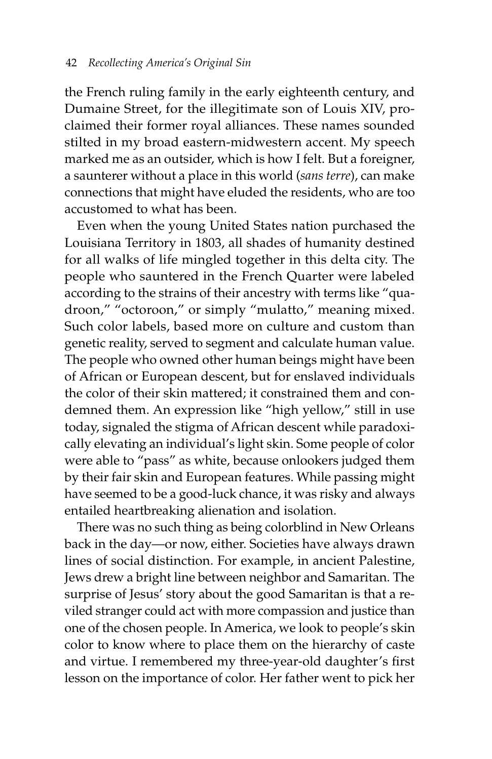the French ruling family in the early eighteenth century, and Dumaine Street, for the illegitimate son of Louis XIV, proclaimed their former royal alliances. These names sounded stilted in my broad eastern-midwestern accent. My speech marked me as an outsider, which is how I felt. But a foreigner, a saunterer without a place in this world (*sans terre*), can make connections that might have eluded the residents, who are too accustomed to what has been.

Even when the young United States nation purchased the Louisiana Territory in 1803, all shades of humanity destined for all walks of life mingled together in this delta city. The people who sauntered in the French Quarter were labeled according to the strains of their ancestry with terms like "quadroon," "octoroon," or simply "mulatto," meaning mixed. Such color labels, based more on culture and custom than genetic reality, served to segment and calculate human value. The people who owned other human beings might have been of African or European descent, but for enslaved individuals the color of their skin mattered; it constrained them and condemned them. An expression like "high yellow," still in use today, signaled the stigma of African descent while paradoxically elevating an individual's light skin. Some people of color were able to "pass" as white, because onlookers judged them by their fair skin and European features. While passing might have seemed to be a good-luck chance, it was risky and always entailed heartbreaking alienation and isolation.

There was no such thing as being colorblind in New Orleans back in the day—or now, either. Societies have always drawn lines of social distinction. For example, in ancient Palestine, Jews drew a bright line between neighbor and Samaritan. The surprise of Jesus' story about the good Samaritan is that a reviled stranger could act with more compassion and justice than one of the chosen people. In America, we look to people's skin color to know where to place them on the hierarchy of caste and virtue. I remembered my three-year-old daughter's first lesson on the importance of color. Her father went to pick her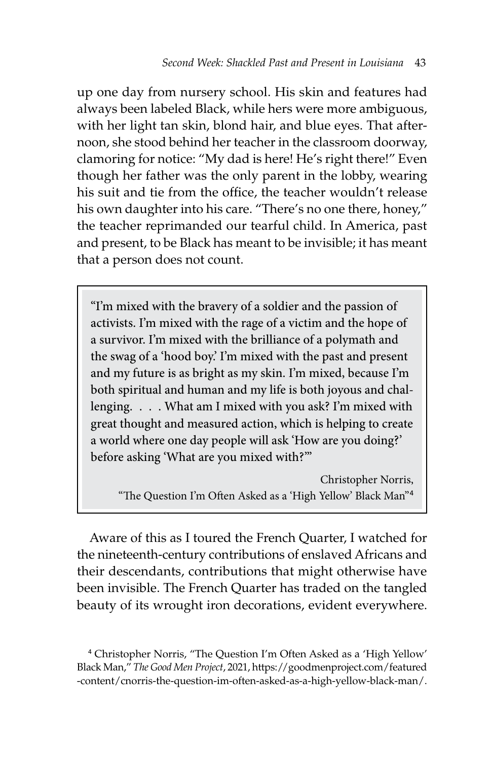up one day from nursery school. His skin and features had always been labeled Black, while hers were more ambiguous, with her light tan skin, blond hair, and blue eyes. That afternoon, she stood behind her teacher in the classroom doorway, clamoring for notice: "My dad is here! He's right there!" Even though her father was the only parent in the lobby, wearing his suit and tie from the office, the teacher wouldn't release his own daughter into his care. "There's no one there, honey," the teacher reprimanded our tearful child. In America, past and present, to be Black has meant to be invisible; it has meant that a person does not count.

"I'm mixed with the bravery of a soldier and the passion of activists. I'm mixed with the rage of a victim and the hope of a survivor. I'm mixed with the brilliance of a polymath and the swag of a 'hood boy.' I'm mixed with the past and present and my future is as bright as my skin. I'm mixed, because I'm both spiritual and human and my life is both joyous and challenging. . . . What am I mixed with you ask? I'm mixed with great thought and measured action, which is helping to create a world where one day people will ask 'How are you doing?' before asking 'What are you mixed with?'"

Christopher Norris, "The Question I'm Often Asked as a 'High Yellow' Black Man"<sup>4</sup>

Aware of this as I toured the French Quarter, I watched for the nineteenth-century contributions of enslaved Africans and their descendants, contributions that might otherwise have been invisible. The French Quarter has traded on the tangled beauty of its wrought iron decorations, evident everywhere.

<sup>4</sup> Christopher Norris, "The Question I'm Often Asked as a 'High Yellow' Black Man," *The Good Men Project*, 2021, https://goodmenproject.com/featured -content/cnorris-the-question-im-often-asked-as-a-high-yellow-black-man/.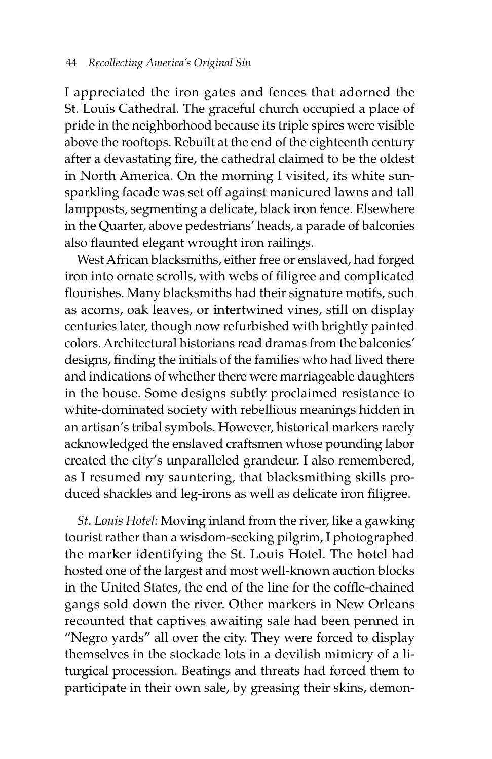I appreciated the iron gates and fences that adorned the St. Louis Cathedral. The graceful church occupied a place of pride in the neighborhood because its triple spires were visible above the rooftops. Rebuilt at the end of the eighteenth century after a devastating fire, the cathedral claimed to be the oldest in North America. On the morning I visited, its white sunsparkling facade was set off against manicured lawns and tall lampposts, segmenting a delicate, black iron fence. Elsewhere in the Quarter, above pedestrians' heads, a parade of balconies also flaunted elegant wrought iron railings.

West African blacksmiths, either free or enslaved, had forged iron into ornate scrolls, with webs of filigree and complicated flourishes. Many blacksmiths had their signature motifs, such as acorns, oak leaves, or intertwined vines, still on display centuries later, though now refurbished with brightly painted colors. Architectural historians read dramas from the balconies' designs, finding the initials of the families who had lived there and indications of whether there were marriageable daughters in the house. Some designs subtly proclaimed resistance to white-dominated society with rebellious meanings hidden in an artisan's tribal symbols. However, historical markers rarely acknowledged the enslaved craftsmen whose pounding labor created the city's unparalleled grandeur. I also remembered, as I resumed my sauntering, that blacksmithing skills produced shackles and leg-irons as well as delicate iron filigree.

*St. Louis Hotel:* Moving inland from the river, like a gawking tourist rather than a wisdom-seeking pilgrim, I photographed the marker identifying the St. Louis Hotel. The hotel had hosted one of the largest and most well-known auction blocks in the United States, the end of the line for the coffle-chained gangs sold down the river. Other markers in New Orleans recounted that captives awaiting sale had been penned in "Negro yards" all over the city. They were forced to display themselves in the stockade lots in a devilish mimicry of a liturgical procession. Beatings and threats had forced them to participate in their own sale, by greasing their skins, demon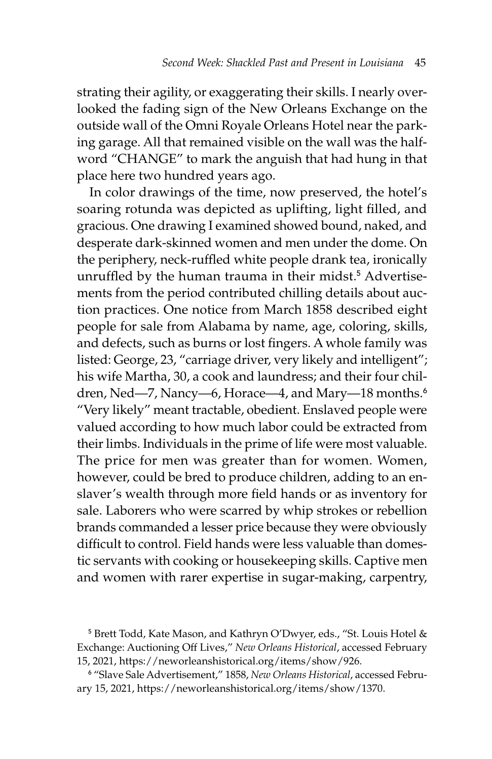strating their agility, or exaggerating their skills. I nearly overlooked the fading sign of the New Orleans Exchange on the outside wall of the Omni Royale Orleans Hotel near the parking garage. All that remained visible on the wall was the halfword "CHANGE" to mark the anguish that had hung in that place here two hundred years ago.

In color drawings of the time, now preserved, the hotel's soaring rotunda was depicted as uplifting, light filled, and gracious. One drawing I examined showed bound, naked, and desperate dark-skinned women and men under the dome. On the periphery, neck-ruffled white people drank tea, ironically unruffled by the human trauma in their midst.<sup>5</sup> Advertisements from the period contributed chilling details about auction practices. One notice from March 1858 described eight people for sale from Alabama by name, age, coloring, skills, and defects, such as burns or lost fingers. A whole family was listed: George, 23, "carriage driver, very likely and intelligent"; his wife Martha, 30, a cook and laundress; and their four children, Ned-7, Nancy-6, Horace-4, and Mary-18 months.<sup>6</sup> "Very likely" meant tractable, obedient. Enslaved people were valued according to how much labor could be extracted from their limbs. Individuals in the prime of life were most valuable. The price for men was greater than for women. Women, however, could be bred to produce children, adding to an enslaver's wealth through more field hands or as inventory for sale. Laborers who were scarred by whip strokes or rebellion brands commanded a lesser price because they were obviously difficult to control. Field hands were less valuable than domestic servants with cooking or housekeeping skills. Captive men and women with rarer expertise in sugar-making, carpentry,

5 Brett Todd, Kate Mason, and Kathryn O'Dwyer, eds., "St. Louis Hotel & Exchange: Auctioning Off Lives," *New Orleans Historical*, accessed February 15, 2021, https://neworleanshistorical.org/items/show/926.

6 "Slave Sale Advertisement," 1858, *New Orleans Historical*, accessed February 15, 2021, https://neworleanshistorical.org/items/show/1370.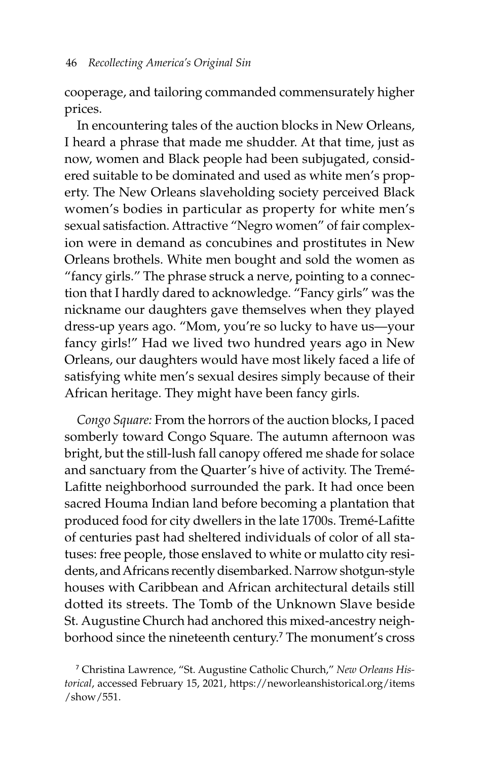cooperage, and tailoring commanded commensurately higher prices.

In encountering tales of the auction blocks in New Orleans, I heard a phrase that made me shudder. At that time, just as now, women and Black people had been subjugated, considered suitable to be dominated and used as white men's property. The New Orleans slaveholding society perceived Black women's bodies in particular as property for white men's sexual satisfaction. Attractive "Negro women" of fair complexion were in demand as concubines and prostitutes in New Orleans brothels. White men bought and sold the women as "fancy girls." The phrase struck a nerve, pointing to a connection that I hardly dared to acknowledge. "Fancy girls" was the nickname our daughters gave themselves when they played dress-up years ago. "Mom, you're so lucky to have us—your fancy girls!" Had we lived two hundred years ago in New Orleans, our daughters would have most likely faced a life of satisfying white men's sexual desires simply because of their African heritage. They might have been fancy girls.

*Congo Square:* From the horrors of the auction blocks, I paced somberly toward Congo Square. The autumn afternoon was bright, but the still-lush fall canopy offered me shade for solace and sanctuary from the Quarter's hive of activity. The Tremé-Lafitte neighborhood surrounded the park. It had once been sacred Houma Indian land before becoming a plantation that produced food for city dwellers in the late 1700s. Tremé-Lafitte of centuries past had sheltered individuals of color of all statuses: free people, those enslaved to white or mulatto city residents, and Africans recently disembarked. Narrow shotgun-style houses with Caribbean and African architectural details still dotted its streets. The Tomb of the Unknown Slave beside St. Augustine Church had anchored this mixed-ancestry neighborhood since the nineteenth century.<sup>7</sup> The monument's cross

<sup>7</sup> Christina Lawrence, "St. Augustine Catholic Church," *New Orleans Historical*, accessed February 15, 2021, https://neworleanshistorical.org/items /show/551.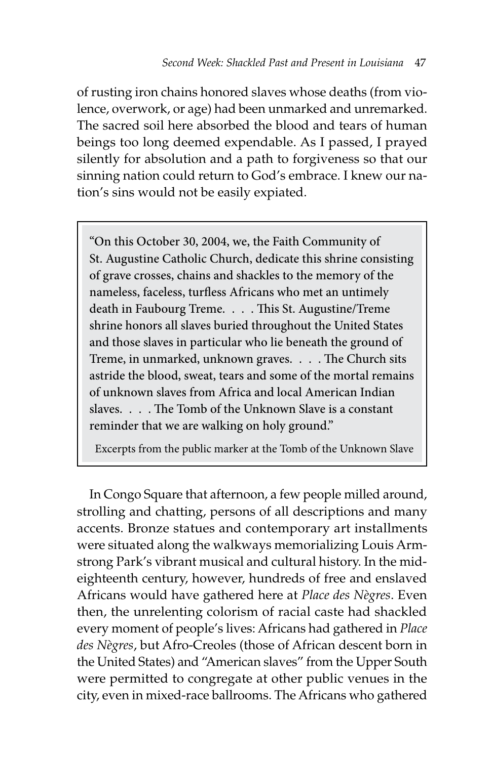of rusting iron chains honored slaves whose deaths (from violence, overwork, or age) had been unmarked and unremarked. The sacred soil here absorbed the blood and tears of human beings too long deemed expendable. As I passed, I prayed silently for absolution and a path to forgiveness so that our sinning nation could return to God's embrace. I knew our nation's sins would not be easily expiated.

"On this October 30, 2004, we, the Faith Community of St. Augustine Catholic Church, dedicate this shrine consisting of grave crosses, chains and shackles to the memory of the nameless, faceless, turfless Africans who met an untimely death in Faubourg Treme. . . . This St. Augustine/Treme shrine honors all slaves buried throughout the United States and those slaves in particular who lie beneath the ground of Treme, in unmarked, unknown graves. . . . The Church sits astride the blood, sweat, tears and some of the mortal remains of unknown slaves from Africa and local American Indian slaves. . . . The Tomb of the Unknown Slave is a constant reminder that we are walking on holy ground."

Excerpts from the public marker at the Tomb of the Unknown Slave

In Congo Square that afternoon, a few people milled around, strolling and chatting, persons of all descriptions and many accents. Bronze statues and contemporary art installments were situated along the walkways memorializing Louis Armstrong Park's vibrant musical and cultural history. In the mideighteenth century, however, hundreds of free and enslaved Africans would have gathered here at *Place des Nègres*. Even then, the unrelenting colorism of racial caste had shackled every moment of people's lives: Africans had gathered in *Place des Nègres*, but Afro-Creoles (those of African descent born in the United States) and "American slaves" from the Upper South were permitted to congregate at other public venues in the city, even in mixed-race ballrooms. The Africans who gathered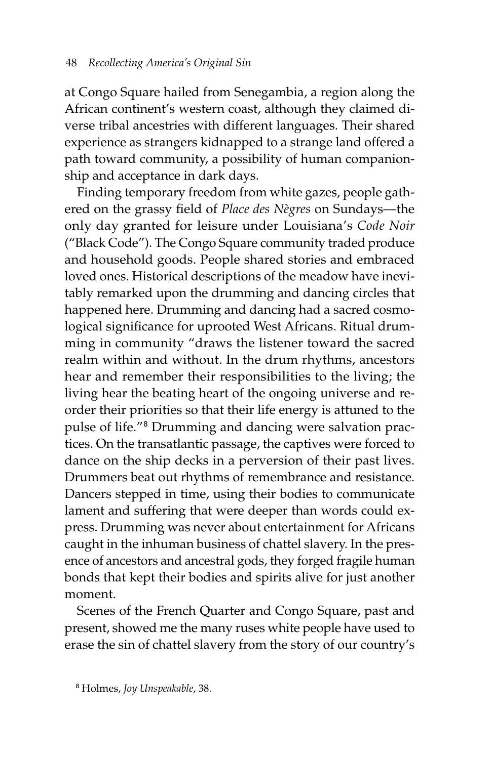at Congo Square hailed from Senegambia, a region along the African continent's western coast, although they claimed diverse tribal ancestries with different languages. Their shared experience as strangers kidnapped to a strange land offered a path toward community, a possibility of human companionship and acceptance in dark days.

Finding temporary freedom from white gazes, people gathered on the grassy field of *Place des Nègres* on Sundays—the only day granted for leisure under Louisiana's *Code Noir* ("Black Code"). The Congo Square community traded produce and household goods. People shared stories and embraced loved ones. Historical descriptions of the meadow have inevitably remarked upon the drumming and dancing circles that happened here. Drumming and dancing had a sacred cosmological significance for uprooted West Africans. Ritual drumming in community "draws the listener toward the sacred realm within and without. In the drum rhythms, ancestors hear and remember their responsibilities to the living; the living hear the beating heart of the ongoing universe and reorder their priorities so that their life energy is attuned to the pulse of life."<sup>8</sup> Drumming and dancing were salvation practices. On the transatlantic passage, the captives were forced to dance on the ship decks in a perversion of their past lives. Drummers beat out rhythms of remembrance and resistance. Dancers stepped in time, using their bodies to communicate lament and suffering that were deeper than words could express. Drumming was never about entertainment for Africans caught in the inhuman business of chattel slavery. In the presence of ancestors and ancestral gods, they forged fragile human bonds that kept their bodies and spirits alive for just another moment.

Scenes of the French Quarter and Congo Square, past and present, showed me the many ruses white people have used to erase the sin of chattel slavery from the story of our country's

<sup>8</sup> Holmes, *Joy Unspeakable*, 38.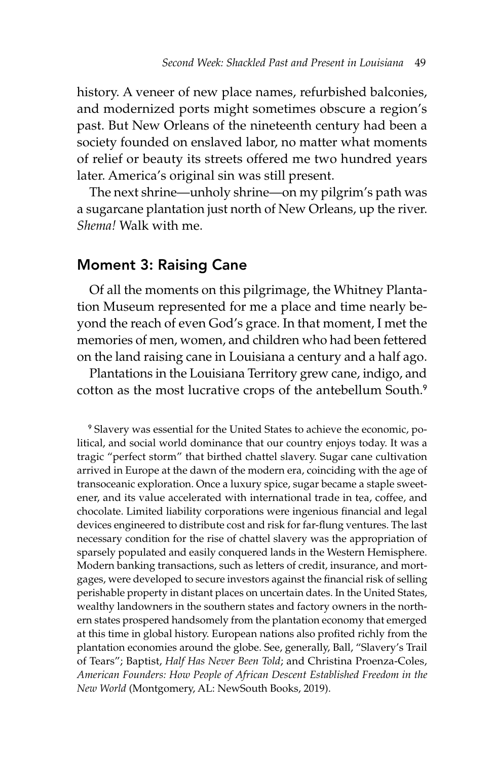history. A veneer of new place names, refurbished balconies, and modernized ports might sometimes obscure a region's past. But New Orleans of the nineteenth century had been a society founded on enslaved labor, no matter what moments of relief or beauty its streets offered me two hundred years later. America's original sin was still present.

The next shrine—unholy shrine—on my pilgrim's path was a sugarcane plantation just north of New Orleans, up the river. *Shema!* Walk with me.

### Moment 3: Raising Cane

Of all the moments on this pilgrimage, the Whitney Plantation Museum represented for me a place and time nearly beyond the reach of even God's grace. In that moment, I met the memories of men, women, and children who had been fettered on the land raising cane in Louisiana a century and a half ago.

Plantations in the Louisiana Territory grew cane, indigo, and cotton as the most lucrative crops of the antebellum South.<sup>9</sup>

9 Slavery was essential for the United States to achieve the economic, political, and social world dominance that our country enjoys today. It was a tragic "perfect storm" that birthed chattel slavery. Sugar cane cultivation arrived in Europe at the dawn of the modern era, coinciding with the age of transoceanic exploration. Once a luxury spice, sugar became a staple sweetener, and its value accelerated with international trade in tea, coffee, and chocolate. Limited liability corporations were ingenious financial and legal devices engineered to distribute cost and risk for far-flung ventures. The last necessary condition for the rise of chattel slavery was the appropriation of sparsely populated and easily conquered lands in the Western Hemisphere. Modern banking transactions, such as letters of credit, insurance, and mortgages, were developed to secure investors against the financial risk of selling perishable property in distant places on uncertain dates. In the United States, wealthy landowners in the southern states and factory owners in the northern states prospered handsomely from the plantation economy that emerged at this time in global history. European nations also profited richly from the plantation economies around the globe. See, generally, Ball, "Slavery's Trail of Tears"; Baptist, *Half Has Never Been Told*; and Christina Proenza-Coles, *American Founders: How People of African Descent Established Freedom in the New World* (Montgomery, AL: NewSouth Books, 2019).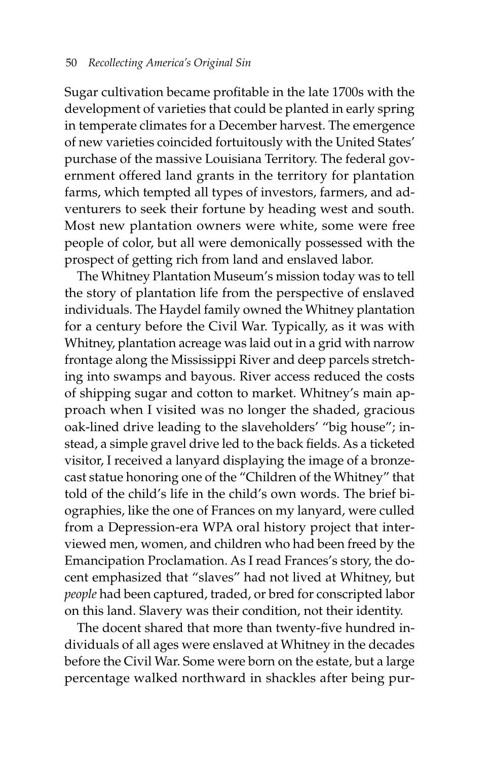Sugar cultivation became profitable in the late 1700s with the development of varieties that could be planted in early spring in temperate climates for a December harvest. The emergence of new varieties coincided fortuitously with the United States' purchase of the massive Louisiana Territory. The federal government offered land grants in the territory for plantation farms, which tempted all types of investors, farmers, and adventurers to seek their fortune by heading west and south. Most new plantation owners were white, some were free people of color, but all were demonically possessed with the prospect of getting rich from land and enslaved labor.

The Whitney Plantation Museum's mission today was to tell the story of plantation life from the perspective of enslaved individuals. The Haydel family owned the Whitney plantation for a century before the Civil War. Typically, as it was with Whitney, plantation acreage was laid out in a grid with narrow frontage along the Mississippi River and deep parcels stretching into swamps and bayous. River access reduced the costs of shipping sugar and cotton to market. Whitney's main approach when I visited was no longer the shaded, gracious oak-lined drive leading to the slaveholders' "big house"; instead, a simple gravel drive led to the back fields. As a ticketed visitor, I received a lanyard displaying the image of a bronzecast statue honoring one of the "Children of the Whitney" that told of the child's life in the child's own words. The brief biographies, like the one of Frances on my lanyard, were culled from a Depression-era WPA oral history project that interviewed men, women, and children who had been freed by the Emancipation Proclamation. As I read Frances's story, the docent emphasized that "slaves" had not lived at Whitney, but *people* had been captured, traded, or bred for conscripted labor on this land. Slavery was their condition, not their identity.

The docent shared that more than twenty-five hundred individuals of all ages were enslaved at Whitney in the decades before the Civil War. Some were born on the estate, but a large percentage walked northward in shackles after being pur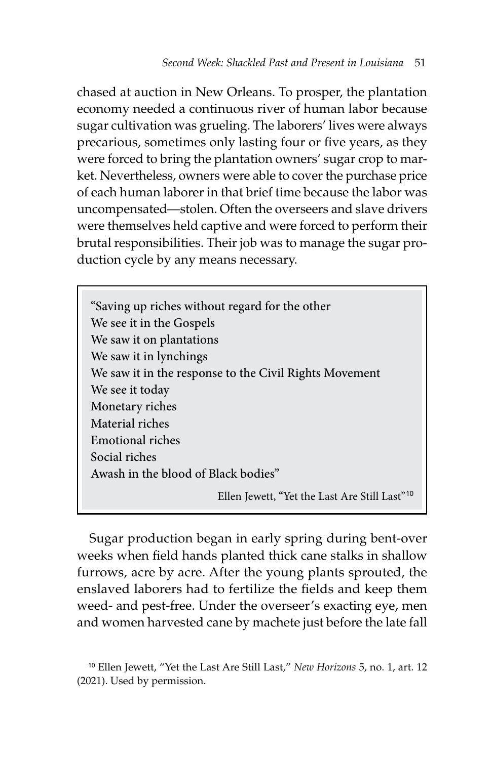chased at auction in New Orleans. To prosper, the plantation economy needed a continuous river of human labor because sugar cultivation was grueling. The laborers' lives were always precarious, sometimes only lasting four or five years, as they were forced to bring the plantation owners' sugar crop to market. Nevertheless, owners were able to cover the purchase price of each human laborer in that brief time because the labor was uncompensated—stolen. Often the overseers and slave drivers were themselves held captive and were forced to perform their brutal responsibilities. Their job was to manage the sugar production cycle by any means necessary.

"Saving up riches without regard for the other We see it in the Gospels We saw it on plantations We saw it in lynchings We saw it in the response to the Civil Rights Movement We see it today Monetary riches Material riches Emotional riches Social riches Awash in the blood of Black bodies" Ellen Jewett, "Yet the Last Are Still Last"<sup>10</sup>

Sugar production began in early spring during bent-over weeks when field hands planted thick cane stalks in shallow furrows, acre by acre. After the young plants sprouted, the enslaved laborers had to fertilize the fields and keep them weed- and pest-free. Under the overseer's exacting eye, men and women harvested cane by machete just before the late fall

<sup>10</sup> Ellen Jewett, "Yet the Last Are Still Last," *New Horizons* 5, no. 1, art. 12 (2021). Used by permission.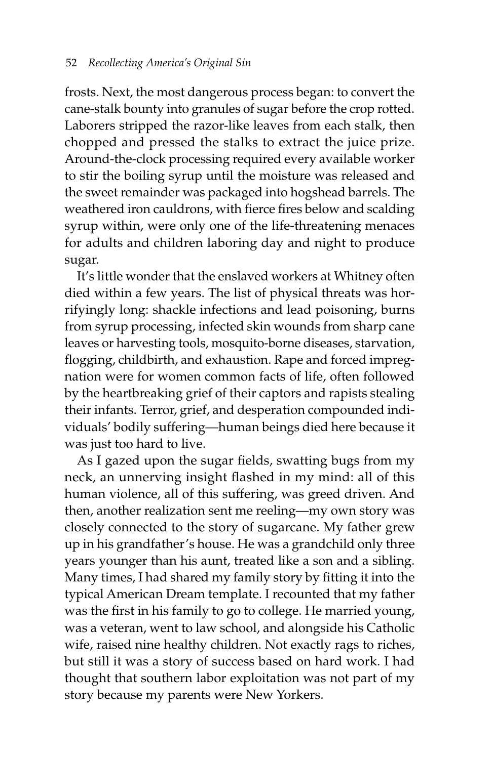frosts. Next, the most dangerous process began: to convert the cane-stalk bounty into granules of sugar before the crop rotted. Laborers stripped the razor-like leaves from each stalk, then chopped and pressed the stalks to extract the juice prize. Around-the-clock processing required every available worker to stir the boiling syrup until the moisture was released and the sweet remainder was packaged into hogshead barrels. The weathered iron cauldrons, with fierce fires below and scalding syrup within, were only one of the life-threatening menaces for adults and children laboring day and night to produce sugar.

It's little wonder that the enslaved workers at Whitney often died within a few years. The list of physical threats was horrifyingly long: shackle infections and lead poisoning, burns from syrup processing, infected skin wounds from sharp cane leaves or harvesting tools, mosquito-borne diseases, starvation, flogging, childbirth, and exhaustion. Rape and forced impregnation were for women common facts of life, often followed by the heartbreaking grief of their captors and rapists stealing their infants. Terror, grief, and desperation compounded individuals' bodily suffering—human beings died here because it was just too hard to live.

As I gazed upon the sugar fields, swatting bugs from my neck, an unnerving insight flashed in my mind: all of this human violence, all of this suffering, was greed driven. And then, another realization sent me reeling—my own story was closely connected to the story of sugarcane. My father grew up in his grandfather's house. He was a grandchild only three years younger than his aunt, treated like a son and a sibling. Many times, I had shared my family story by fitting it into the typical American Dream template. I recounted that my father was the first in his family to go to college. He married young, was a veteran, went to law school, and alongside his Catholic wife, raised nine healthy children. Not exactly rags to riches, but still it was a story of success based on hard work. I had thought that southern labor exploitation was not part of my story because my parents were New Yorkers.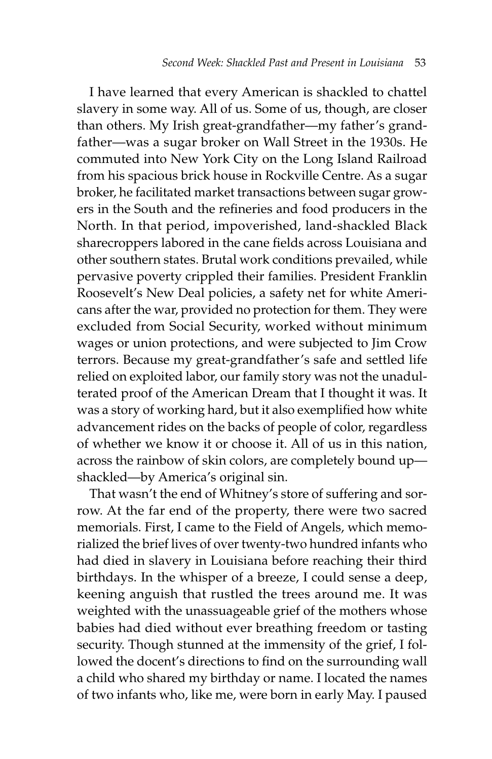I have learned that every American is shackled to chattel slavery in some way. All of us. Some of us, though, are closer than others. My Irish great-grandfather—my father's grandfather—was a sugar broker on Wall Street in the 1930s. He commuted into New York City on the Long Island Railroad from his spacious brick house in Rockville Centre. As a sugar broker, he facilitated market transactions between sugar growers in the South and the refineries and food producers in the North. In that period, impoverished, land-shackled Black sharecroppers labored in the cane fields across Louisiana and other southern states. Brutal work conditions prevailed, while pervasive poverty crippled their families. President Franklin Roosevelt's New Deal policies, a safety net for white Americans after the war, provided no protection for them. They were excluded from Social Security, worked without minimum wages or union protections, and were subjected to Jim Crow terrors. Because my great-grandfather's safe and settled life relied on exploited labor, our family story was not the unadulterated proof of the American Dream that I thought it was. It was a story of working hard, but it also exemplified how white advancement rides on the backs of people of color, regardless of whether we know it or choose it. All of us in this nation, across the rainbow of skin colors, are completely bound up shackled—by America's original sin.

That wasn't the end of Whitney's store of suffering and sorrow. At the far end of the property, there were two sacred memorials. First, I came to the Field of Angels, which memorialized the brief lives of over twenty-two hundred infants who had died in slavery in Louisiana before reaching their third birthdays. In the whisper of a breeze, I could sense a deep, keening anguish that rustled the trees around me. It was weighted with the unassuageable grief of the mothers whose babies had died without ever breathing freedom or tasting security. Though stunned at the immensity of the grief, I followed the docent's directions to find on the surrounding wall a child who shared my birthday or name. I located the names of two infants who, like me, were born in early May. I paused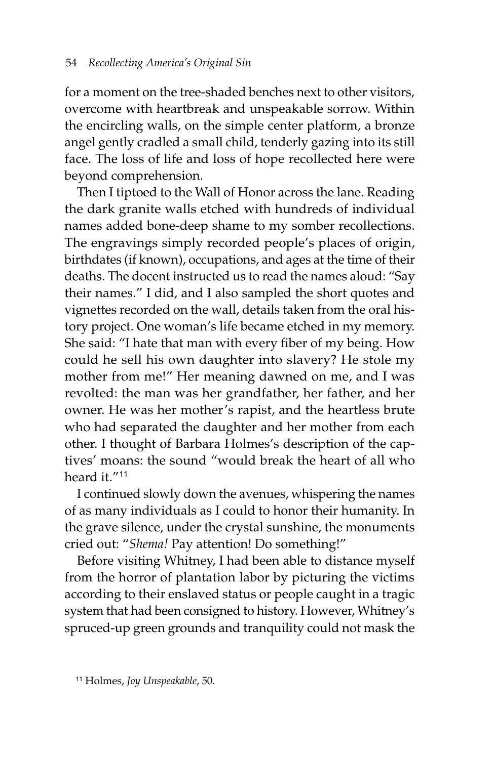for a moment on the tree-shaded benches next to other visitors, overcome with heartbreak and unspeakable sorrow. Within the encircling walls, on the simple center platform, a bronze angel gently cradled a small child, tenderly gazing into its still face. The loss of life and loss of hope recollected here were beyond comprehension.

Then I tiptoed to the Wall of Honor across the lane. Reading the dark granite walls etched with hundreds of individual names added bone-deep shame to my somber recollections. The engravings simply recorded people's places of origin, birthdates (if known), occupations, and ages at the time of their deaths. The docent instructed us to read the names aloud: "Say their names." I did, and I also sampled the short quotes and vignettes recorded on the wall, details taken from the oral history project. One woman's life became etched in my memory. She said: "I hate that man with every fiber of my being. How could he sell his own daughter into slavery? He stole my mother from me!" Her meaning dawned on me, and I was revolted: the man was her grandfather, her father, and her owner. He was her mother's rapist, and the heartless brute who had separated the daughter and her mother from each other. I thought of Barbara Holmes's description of the captives' moans: the sound "would break the heart of all who heard it."<sup>11</sup>

I continued slowly down the avenues, whispering the names of as many individuals as I could to honor their humanity. In the grave silence, under the crystal sunshine, the monuments cried out: "*Shema!* Pay attention! Do something!"

Before visiting Whitney, I had been able to distance myself from the horror of plantation labor by picturing the victims according to their enslaved status or people caught in a tragic system that had been consigned to history. However, Whitney's spruced-up green grounds and tranquility could not mask the

<sup>11</sup> Holmes, *Joy Unspeakable*, 50.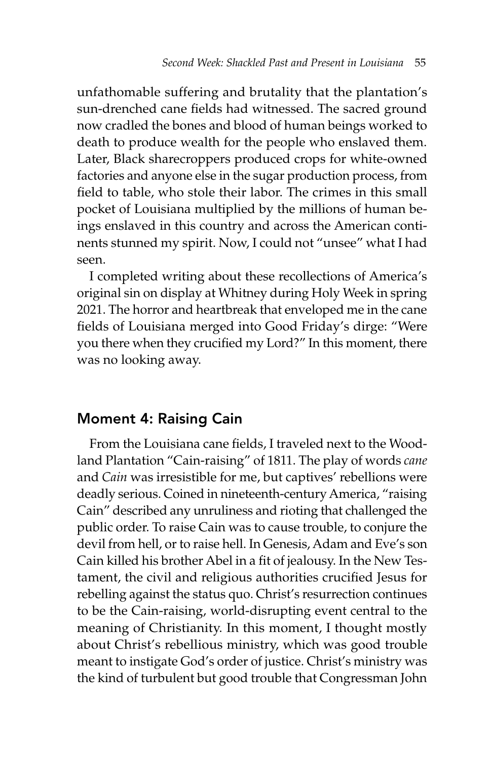unfathomable suffering and brutality that the plantation's sun-drenched cane fields had witnessed. The sacred ground now cradled the bones and blood of human beings worked to death to produce wealth for the people who enslaved them. Later, Black sharecroppers produced crops for white-owned factories and anyone else in the sugar production process, from field to table, who stole their labor. The crimes in this small pocket of Louisiana multiplied by the millions of human beings enslaved in this country and across the American continents stunned my spirit. Now, I could not "unsee" what I had seen.

I completed writing about these recollections of America's original sin on display at Whitney during Holy Week in spring 2021. The horror and heartbreak that enveloped me in the cane fields of Louisiana merged into Good Friday's dirge: "Were you there when they crucified my Lord?" In this moment, there was no looking away.

#### Moment 4: Raising Cain

From the Louisiana cane fields, I traveled next to the Woodland Plantation "Cain-raising" of 1811. The play of words *cane* and *Cain* was irresistible for me, but captives' rebellions were deadly serious. Coined in nineteenth-century America, "raising Cain" described any unruliness and rioting that challenged the public order. To raise Cain was to cause trouble, to conjure the devil from hell, or to raise hell. In Genesis, Adam and Eve's son Cain killed his brother Abel in a fit of jealousy. In the New Testament, the civil and religious authorities crucified Jesus for rebelling against the status quo. Christ's resurrection continues to be the Cain-raising, world-disrupting event central to the meaning of Christianity. In this moment, I thought mostly about Christ's rebellious ministry, which was good trouble meant to instigate God's order of justice. Christ's ministry was the kind of turbulent but good trouble that Congressman John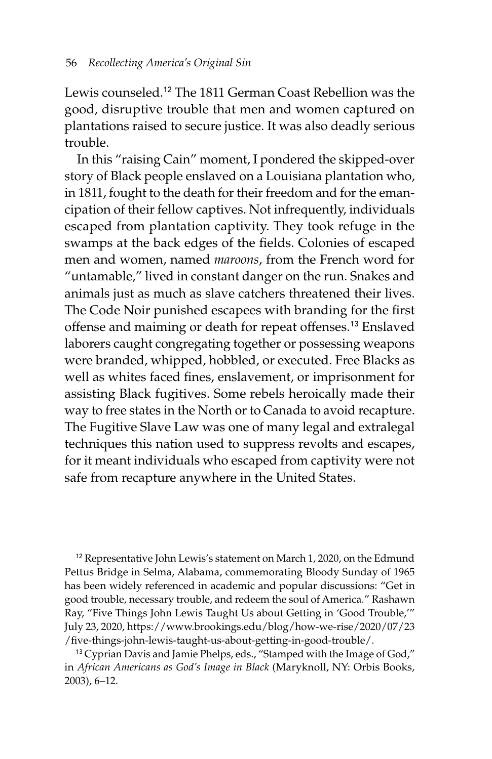Lewis counseled.<sup>12</sup> The 1811 German Coast Rebellion was the good, disruptive trouble that men and women captured on plantations raised to secure justice. It was also deadly serious trouble.

In this "raising Cain" moment, I pondered the skipped-over story of Black people enslaved on a Louisiana plantation who, in 1811, fought to the death for their freedom and for the emancipation of their fellow captives. Not infrequently, individuals escaped from plantation captivity. They took refuge in the swamps at the back edges of the fields. Colonies of escaped men and women, named *maroons*, from the French word for "untamable," lived in constant danger on the run. Snakes and animals just as much as slave catchers threatened their lives. The Code Noir punished escapees with branding for the first offense and maiming or death for repeat offenses.<sup>13</sup> Enslaved laborers caught congregating together or possessing weapons were branded, whipped, hobbled, or executed. Free Blacks as well as whites faced fines, enslavement, or imprisonment for assisting Black fugitives. Some rebels heroically made their way to free states in the North or to Canada to avoid recapture. The Fugitive Slave Law was one of many legal and extralegal techniques this nation used to suppress revolts and escapes, for it meant individuals who escaped from captivity were not safe from recapture anywhere in the United States.

<sup>12</sup> Representative John Lewis's statement on March 1, 2020, on the Edmund Pettus Bridge in Selma, Alabama, commemorating Bloody Sunday of 1965 has been widely referenced in academic and popular discussions: "Get in good trouble, necessary trouble, and redeem the soul of America." Rashawn Ray, "Five Things John Lewis Taught Us about Getting in 'Good Trouble,'" July 23, 2020, https://www.brookings.edu/blog/how-we-rise/2020/07/23 /five-things-john-lewis-taught-us-about-getting-in-good-trouble/.

<sup>13</sup> Cyprian Davis and Jamie Phelps, eds., "Stamped with the Image of God," in *African Americans as God's Image in Black* (Maryknoll, NY: Orbis Books, 2003), 6–12.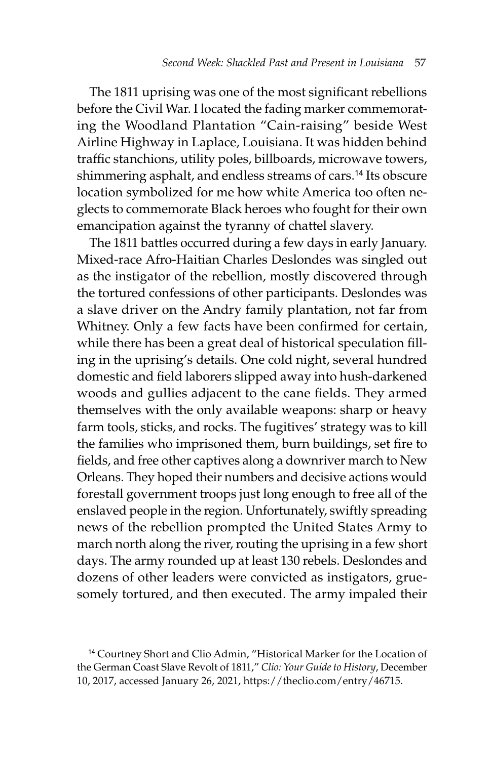The 1811 uprising was one of the most significant rebellions before the Civil War. I located the fading marker commemorating the Woodland Plantation "Cain-raising" beside West Airline Highway in Laplace, Louisiana. It was hidden behind traffic stanchions, utility poles, billboards, microwave towers, shimmering asphalt, and endless streams of cars.<sup>14</sup> Its obscure location symbolized for me how white America too often neglects to commemorate Black heroes who fought for their own emancipation against the tyranny of chattel slavery.

The 1811 battles occurred during a few days in early January. Mixed-race Afro-Haitian Charles Deslondes was singled out as the instigator of the rebellion, mostly discovered through the tortured confessions of other participants. Deslondes was a slave driver on the Andry family plantation, not far from Whitney. Only a few facts have been confirmed for certain, while there has been a great deal of historical speculation filling in the uprising's details. One cold night, several hundred domestic and field laborers slipped away into hush-darkened woods and gullies adjacent to the cane fields. They armed themselves with the only available weapons: sharp or heavy farm tools, sticks, and rocks. The fugitives' strategy was to kill the families who imprisoned them, burn buildings, set fire to fields, and free other captives along a downriver march to New Orleans. They hoped their numbers and decisive actions would forestall government troops just long enough to free all of the enslaved people in the region. Unfortunately, swiftly spreading news of the rebellion prompted the United States Army to march north along the river, routing the uprising in a few short days. The army rounded up at least 130 rebels. Deslondes and dozens of other leaders were convicted as instigators, gruesomely tortured, and then executed. The army impaled their

<sup>14</sup> Courtney Short and Clio Admin, "Historical Marker for the Location of the German Coast Slave Revolt of 1811," *Clio: Your Guide to History*, December 10, 2017, accessed January 26, 2021, https://theclio.com/entry/46715.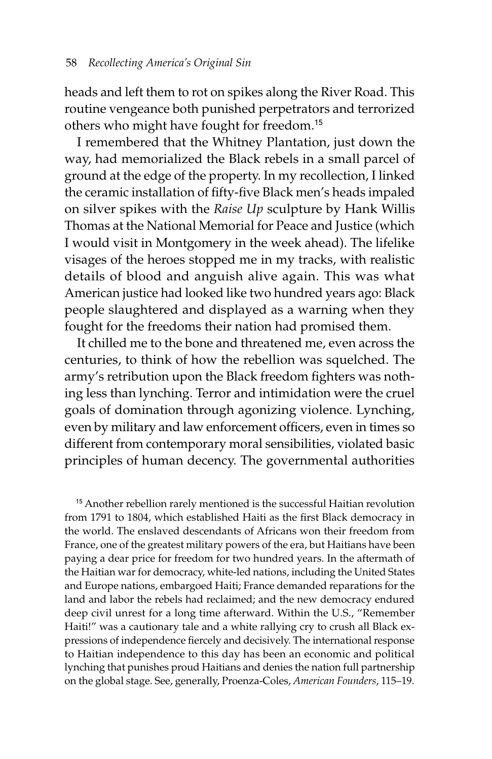heads and left them to rot on spikes along the River Road. This routine vengeance both punished perpetrators and terrorized others who might have fought for freedom.<sup>15</sup>

I remembered that the Whitney Plantation, just down the way, had memorialized the Black rebels in a small parcel of ground at the edge of the property. In my recollection, I linked the ceramic installation of fifty-five Black men's heads impaled on silver spikes with the *Raise Up* sculpture by Hank Willis Thomas at the National Memorial for Peace and Justice (which I would visit in Montgomery in the week ahead). The lifelike visages of the heroes stopped me in my tracks, with realistic details of blood and anguish alive again. This was what American justice had looked like two hundred years ago: Black people slaughtered and displayed as a warning when they fought for the freedoms their nation had promised them.

It chilled me to the bone and threatened me, even across the centuries, to think of how the rebellion was squelched. The army's retribution upon the Black freedom fighters was nothing less than lynching. Terror and intimidation were the cruel goals of domination through agonizing violence. Lynching, even by military and law enforcement officers, even in times so different from contemporary moral sensibilities, violated basic principles of human decency. The governmental authorities

<sup>15</sup> Another rebellion rarely mentioned is the successful Haitian revolution from 1791 to 1804, which established Haiti as the first Black democracy in the world. The enslaved descendants of Africans won their freedom from France, one of the greatest military powers of the era, but Haitians have been paying a dear price for freedom for two hundred years. In the aftermath of the Haitian war for democracy, white-led nations, including the United States and Europe nations, embargoed Haiti; France demanded reparations for the land and labor the rebels had reclaimed; and the new democracy endured deep civil unrest for a long time afterward. Within the U.S., "Remember Haiti!" was a cautionary tale and a white rallying cry to crush all Black expressions of independence fiercely and decisively. The international response to Haitian independence to this day has been an economic and political lynching that punishes proud Haitians and denies the nation full partnership on the global stage. See, generally, Proenza-Coles, *American Founders*, 115–19.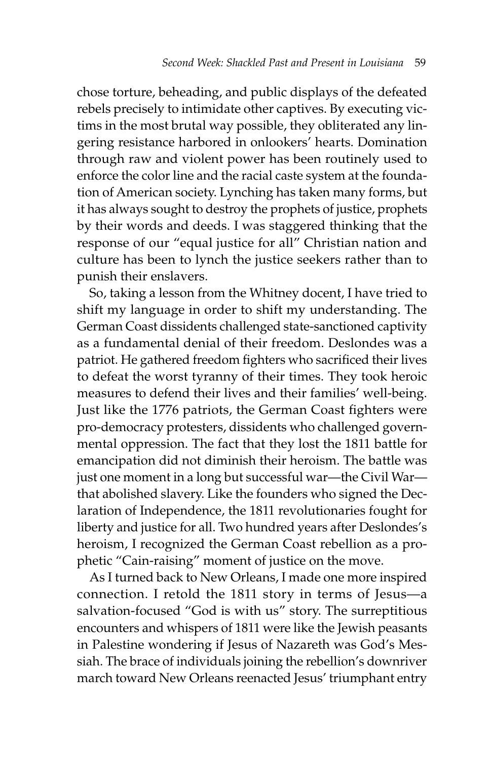chose torture, beheading, and public displays of the defeated rebels precisely to intimidate other captives. By executing victims in the most brutal way possible, they obliterated any lingering resistance harbored in onlookers' hearts. Domination through raw and violent power has been routinely used to enforce the color line and the racial caste system at the foundation of American society. Lynching has taken many forms, but it has always sought to destroy the prophets of justice, prophets by their words and deeds. I was staggered thinking that the response of our "equal justice for all" Christian nation and culture has been to lynch the justice seekers rather than to punish their enslavers.

So, taking a lesson from the Whitney docent, I have tried to shift my language in order to shift my understanding. The German Coast dissidents challenged state-sanctioned captivity as a fundamental denial of their freedom. Deslondes was a patriot. He gathered freedom fighters who sacrificed their lives to defeat the worst tyranny of their times. They took heroic measures to defend their lives and their families' well-being. Just like the 1776 patriots, the German Coast fighters were pro-democracy protesters, dissidents who challenged governmental oppression. The fact that they lost the 1811 battle for emancipation did not diminish their heroism. The battle was just one moment in a long but successful war—the Civil War that abolished slavery. Like the founders who signed the Declaration of Independence, the 1811 revolutionaries fought for liberty and justice for all. Two hundred years after Deslondes's heroism, I recognized the German Coast rebellion as a prophetic "Cain-raising" moment of justice on the move.

As I turned back to New Orleans, I made one more inspired connection. I retold the 1811 story in terms of Jesus—a salvation-focused "God is with us" story. The surreptitious encounters and whispers of 1811 were like the Jewish peasants in Palestine wondering if Jesus of Nazareth was God's Messiah. The brace of individuals joining the rebellion's downriver march toward New Orleans reenacted Jesus' triumphant entry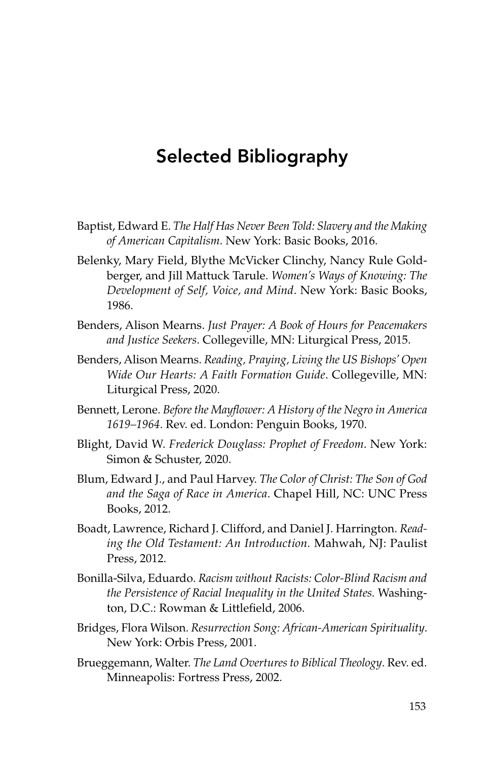## Selected Bibliography

- Baptist, Edward E. *The Half Has Never Been Told: Slavery and the Making of American Capitalism*. New York: Basic Books, 2016.
- Belenky, Mary Field, Blythe McVicker Clinchy, Nancy Rule Goldberger, and Jill Mattuck Tarule. *Women's Ways of Knowing: The Development of Self, Voice, and Mind*. New York: Basic Books, 1986.
- Benders, Alison Mearns. *Just Prayer: A Book of Hours for Peacemakers and Justice Seekers*. Collegeville, MN: Liturgical Press, 2015.
- Benders, Alison Mearns. *Reading, Praying, Living the US Bishops' Open Wide Our Hearts: A Faith Formation Guide*. Collegeville, MN: Liturgical Press, 2020.
- Bennett, Lerone. *Before the Mayflower: A History of the Negro in America 1619–1964*. Rev. ed. London: Penguin Books, 1970.
- Blight, David W. *Frederick Douglass: Prophet of Freedom*. New York: Simon & Schuster, 2020.
- Blum, Edward J., and Paul Harvey. *The Color of Christ: The Son of God and the Saga of Race in America*. Chapel Hill, NC: UNC Press Books, 2012.
- Boadt, Lawrence, Richard J. Clifford, and Daniel J. Harrington. *Reading the Old Testament: An Introduction.* Mahwah, NJ: Paulist Press, 2012.
- Bonilla-Silva, Eduardo. *Racism without Racists: Color-Blind Racism and the Persistence of Racial Inequality in the United States.* Washington, D.C.: Rowman & Littlefield, 2006.
- Bridges, Flora Wilson. *Resurrection Song: African-American Spirituality*. New York: Orbis Press, 2001.
- Brueggemann, Walter. *The Land Overtures to Biblical Theology*. Rev. ed. Minneapolis: Fortress Press, 2002.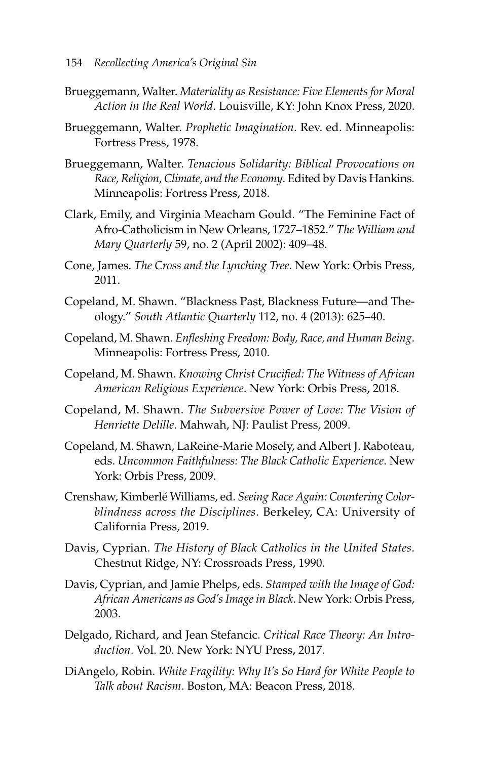- Brueggemann, Walter. *Materiality as Resistance: Five Elements for Moral Action in the Real World*. Louisville, KY: John Knox Press, 2020.
- Brueggemann, Walter. *Prophetic Imagination*. Rev. ed. Minneapolis: Fortress Press, 1978.
- Brueggemann, Walter. *Tenacious Solidarity: Biblical Provocations on Race, Religion, Climate, and the Economy*. Edited by Davis Hankins. Minneapolis: Fortress Press, 2018.
- Clark, Emily, and Virginia Meacham Gould. "The Feminine Fact of Afro-Catholicism in New Orleans, 1727–1852." *The William and Mary Quarterly* 59, no. 2 (April 2002): 409–48.
- Cone, James. *The Cross and the Lynching Tree*. New York: Orbis Press, 2011.
- Copeland, M. Shawn. "Blackness Past, Blackness Future—and Theology." *South Atlantic Quarterly* 112, no. 4 (2013): 625–40.
- Copeland, M. Shawn. *Enfleshing Freedom: Body, Race, and Human Being*. Minneapolis: Fortress Press, 2010.
- Copeland, M. Shawn. *Knowing Christ Crucified: The Witness of African American Religious Experience*. New York: Orbis Press, 2018.
- Copeland, M. Shawn. *The Subversive Power of Love: The Vision of Henriette Delille*. Mahwah, NJ: Paulist Press, 2009.
- Copeland, M. Shawn, LaReine-Marie Mosely, and Albert J. Raboteau, eds. *Uncommon Faithfulness: The Black Catholic Experience*. New York: Orbis Press, 2009.
- Crenshaw, Kimberlé Williams, ed. *Seeing Race Again: Countering Colorblindness across the Disciplines*. Berkeley, CA: University of California Press, 2019.
- Davis, Cyprian. *The History of Black Catholics in the United States*. Chestnut Ridge, NY: Crossroads Press, 1990.
- Davis, Cyprian, and Jamie Phelps, eds. *Stamped with the Image of God: African Americans as God's Image in Black*. New York: Orbis Press, 2003.
- Delgado, Richard, and Jean Stefancic. *Critical Race Theory: An Introduction*. Vol. 20. New York: NYU Press, 2017.
- DiAngelo, Robin. *White Fragility: Why It's So Hard for White People to Talk about Racism*. Boston, MA: Beacon Press, 2018.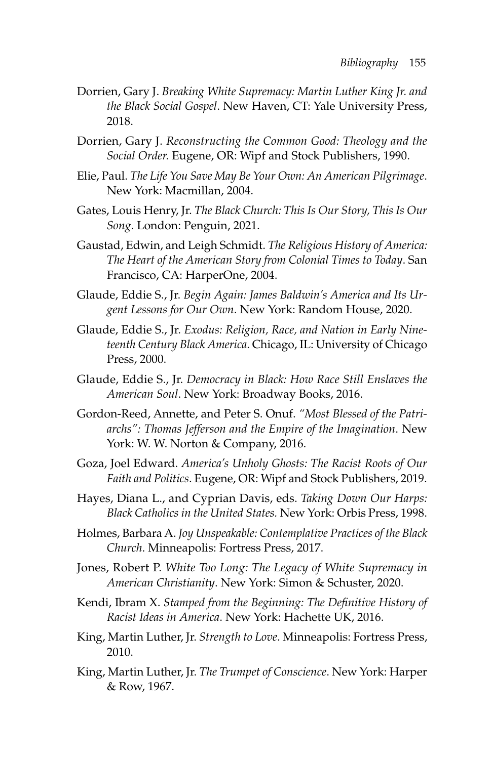- Dorrien, Gary J. *Breaking White Supremacy: Martin Luther King Jr. and the Black Social Gospel*. New Haven, CT: Yale University Press, 2018.
- Dorrien, Gary J. *Reconstructing the Common Good: Theology and the Social Order.* Eugene, OR: Wipf and Stock Publishers, 1990.
- Elie, Paul. *The Life You Save May Be Your Own: An American Pilgrimage*. New York: Macmillan, 2004.
- Gates, Louis Henry, Jr. *The Black Church: This Is Our Story, This Is Our Song*. London: Penguin, 2021.
- Gaustad, Edwin, and Leigh Schmidt. *The Religious History of America: The Heart of the American Story from Colonial Times to Today*. San Francisco, CA: HarperOne, 2004.
- Glaude, Eddie S., Jr. *Begin Again: James Baldwin's America and Its Urgent Lessons for Our Own*. New York: Random House, 2020.
- Glaude, Eddie S., Jr. *Exodus: Religion, Race, and Nation in Early Nineteenth Century Black America*. Chicago, IL: University of Chicago Press, 2000.
- Glaude, Eddie S., Jr. *Democracy in Black: How Race Still Enslaves the American Soul*. New York: Broadway Books, 2016.
- Gordon-Reed, Annette, and Peter S. Onuf. *"Most Blessed of the Patriarchs": Thomas Jefferson and the Empire of the Imagination*. New York: W. W. Norton & Company, 2016.
- Goza, Joel Edward. *America's Unholy Ghosts: The Racist Roots of Our Faith and Politics*. Eugene, OR: Wipf and Stock Publishers, 2019.
- Hayes, Diana L., and Cyprian Davis, eds. *Taking Down Our Harps: Black Catholics in the United States.* New York: Orbis Press, 1998.
- Holmes, Barbara A. *Joy Unspeakable: Contemplative Practices of the Black Church*. Minneapolis: Fortress Press, 2017.
- Jones, Robert P. *White Too Long: The Legacy of White Supremacy in American Christianity*. New York: Simon & Schuster, 2020.
- Kendi, Ibram X. *Stamped from the Beginning: The Definitive History of Racist Ideas in America*. New York: Hachette UK, 2016.
- King, Martin Luther, Jr. *Strength to Love*. Minneapolis: Fortress Press, 2010.
- King, Martin Luther, Jr. *The Trumpet of Conscience*. New York: Harper & Row, 1967.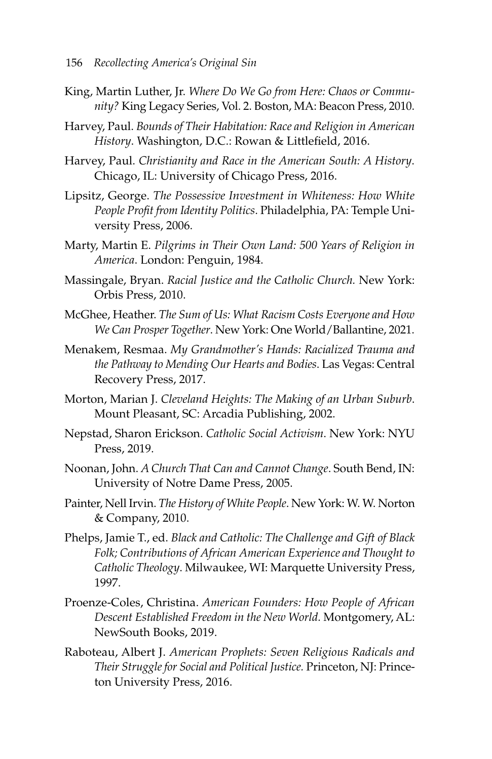- King, Martin Luther, Jr. *Where Do We Go from Here: Chaos or Community?* King Legacy Series, Vol. 2. Boston, MA: Beacon Press, 2010.
- Harvey, Paul. *Bounds of Their Habitation: Race and Religion in American History*. Washington, D.C.: Rowan & Littlefield, 2016.
- Harvey, Paul. *Christianity and Race in the American South: A History*. Chicago, IL: University of Chicago Press, 2016.
- Lipsitz, George. *The Possessive Investment in Whiteness: How White People Profit from Identity Politics*. Philadelphia, PA: Temple University Press, 2006.
- Marty, Martin E. *Pilgrims in Their Own Land: 500 Years of Religion in America*. London: Penguin, 1984.
- Massingale, Bryan. *Racial Justice and the Catholic Church.* New York: Orbis Press, 2010.
- McGhee, Heather. *The Sum of Us: What Racism Costs Everyone and How We Can Prosper Together*. New York: One World/Ballantine, 2021.
- Menakem, Resmaa. *My Grandmother's Hands: Racialized Trauma and the Pathway to Mending Our Hearts and Bodies*. Las Vegas: Central Recovery Press, 2017.
- Morton, Marian J. *Cleveland Heights: The Making of an Urban Suburb*. Mount Pleasant, SC: Arcadia Publishing, 2002.
- Nepstad, Sharon Erickson. *Catholic Social Activism*. New York: NYU Press, 2019.
- Noonan, John. *A Church That Can and Cannot Change*. South Bend, IN: University of Notre Dame Press, 2005.
- Painter, Nell Irvin. *The History of White People*. New York: W. W. Norton & Company, 2010.
- Phelps, Jamie T., ed. *Black and Catholic: The Challenge and Gift of Black Folk; Contributions of African American Experience and Thought to Catholic Theology*. Milwaukee, WI: Marquette University Press, 1997.
- Proenze-Coles, Christina. *American Founders: How People of African Descent Established Freedom in the New World.* Montgomery, AL: NewSouth Books, 2019.
- Raboteau, Albert J. *American Prophets: Seven Religious Radicals and Their Struggle for Social and Political Justice.* Princeton, NJ: Princeton University Press, 2016.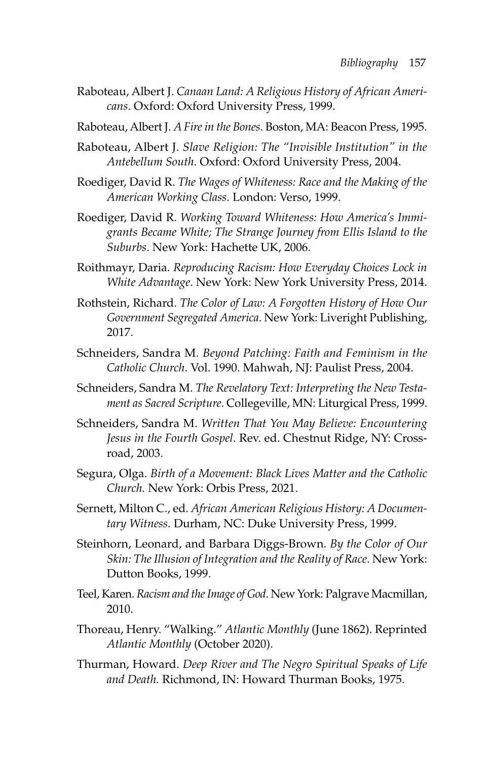- Raboteau, Albert J. *Canaan Land: A Religious History of African Americans*. Oxford: Oxford University Press, 1999.
- Raboteau, Albert J. *A Fire in the Bones*. Boston, MA: Beacon Press, 1995.
- Raboteau, Albert J. *Slave Religion: The "Invisible Institution" in the Antebellum South*. Oxford: Oxford University Press, 2004.
- Roediger, David R. *The Wages of Whiteness: Race and the Making of the American Working Class*. London: Verso, 1999.
- Roediger, David R. *Working Toward Whiteness: How America's Immigrants Became White; The Strange Journey from Ellis Island to the Suburbs*. New York: Hachette UK, 2006.
- Roithmayr, Daria. *Reproducing Racism: How Everyday Choices Lock in White Advantage*. New York: New York University Press, 2014.
- Rothstein, Richard. *The Color of Law: A Forgotten History of How Our Government Segregated America*. New York: Liveright Publishing, 2017.
- Schneiders, Sandra M. *Beyond Patching: Faith and Feminism in the Catholic Church*. Vol. 1990. Mahwah, NJ: Paulist Press, 2004.
- Schneiders, Sandra M. *The Revelatory Text: Interpreting the New Testament as Sacred Scripture*. Collegeville, MN: Liturgical Press, 1999.
- Schneiders, Sandra M. *Written That You May Believe: Encountering Jesus in the Fourth Gospel*. Rev. ed. Chestnut Ridge, NY: Crossroad, 2003.
- Segura, Olga. *Birth of a Movement: Black Lives Matter and the Catholic Church.* New York: Orbis Press, 2021.
- Sernett, Milton C., ed. *African American Religious History: A Documentary Witness.* Durham, NC: Duke University Press, 1999.
- Steinhorn, Leonard, and Barbara Diggs-Brown. *By the Color of Our Skin: The Illusion of Integration and the Reality of Race*. New York: Dutton Books, 1999.
- Teel, Karen. *Racism and the Image of God*. New York: Palgrave Macmillan, 2010.
- Thoreau, Henry. "Walking." *Atlantic Monthly* (June 1862). Reprinted *Atlantic Monthly* (October 2020).
- Thurman, Howard. *Deep River and The Negro Spiritual Speaks of Life and Death.* Richmond, IN: Howard Thurman Books, 1975.